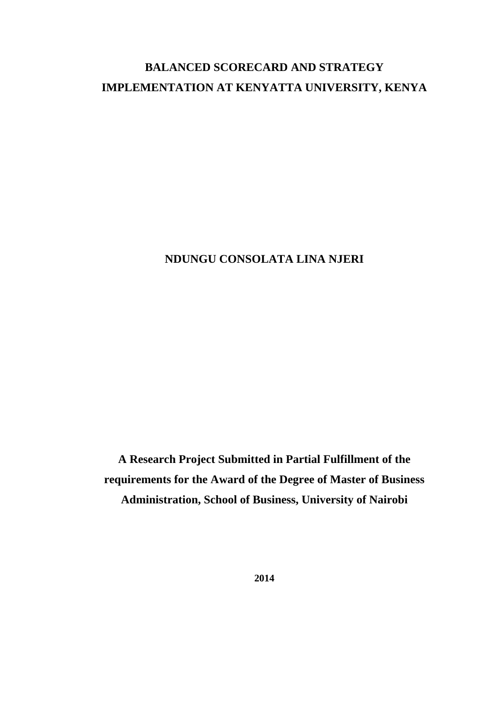# **BALANCED SCORECARD AND STRATEGY IMPLEMENTATION AT KENYATTA UNIVERSITY, KENYA**

**NDUNGU CONSOLATA LINA NJERI**

**A Research Project Submitted in Partial Fulfillment of the requirements for the Award of the Degree of Master of Business Administration, School of Business, University of Nairobi**

**2014**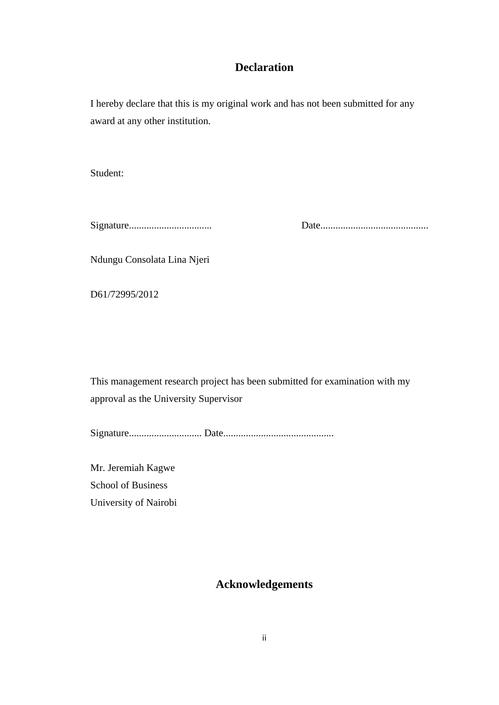# **Declaration**

<span id="page-1-0"></span>I hereby declare that this is my original work and has not been submitted for any award at any other institution.

Student:

Signature................................. Date...........................................

Ndungu Consolata Lina Njeri

D61/72995/2012

This management research project has been submitted for examination with my approval as the University Supervisor

Signature............................. Date............................................

<span id="page-1-1"></span>Mr. Jeremiah Kagwe School of Business University of Nairobi

# **Acknowledgements**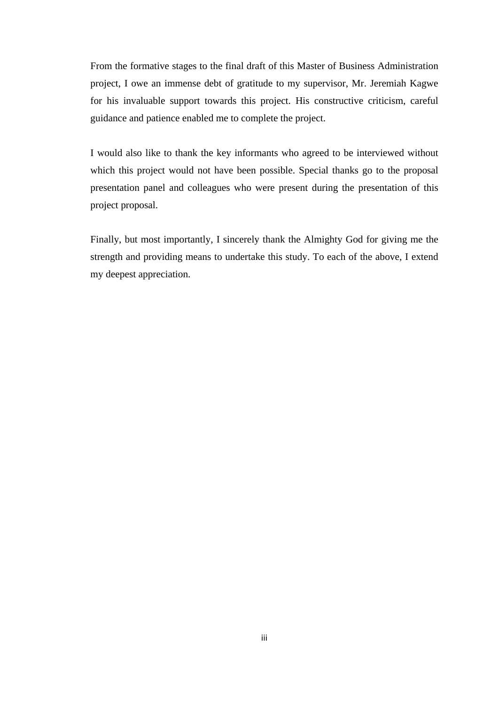From the formative stages to the final draft of this Master of Business Administration project, I owe an immense debt of gratitude to my supervisor, Mr. Jeremiah Kagwe for his invaluable support towards this project. His constructive criticism, careful guidance and patience enabled me to complete the project.

I would also like to thank the key informants who agreed to be interviewed without which this project would not have been possible. Special thanks go to the proposal presentation panel and colleagues who were present during the presentation of this project proposal.

Finally, but most importantly, I sincerely thank the Almighty God for giving me the strength and providing means to undertake this study. To each of the above, I extend my deepest appreciation.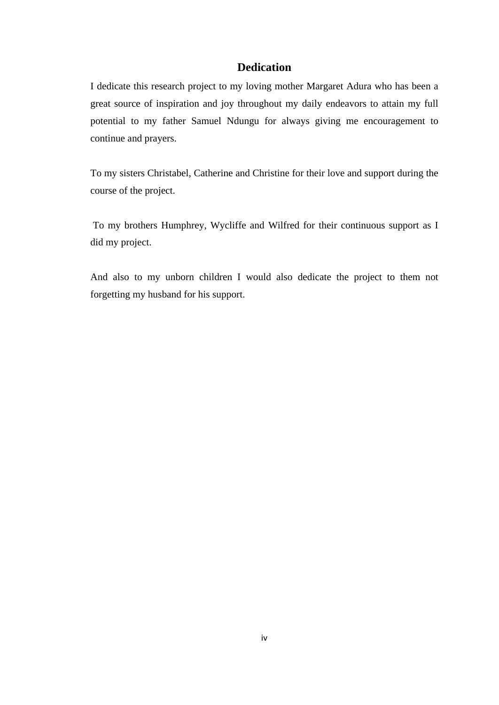# **Dedication**

<span id="page-3-0"></span>I dedicate this research project to my loving mother Margaret Adura who has been a great source of inspiration and joy throughout my daily endeavors to attain my full potential to my father Samuel Ndungu for always giving me encouragement to continue and prayers.

To my sisters Christabel, Catherine and Christine for their love and support during the course of the project.

To my brothers Humphrey, Wycliffe and Wilfred for their continuous support as I did my project.

And also to my unborn children I would also dedicate the project to them not forgetting my husband for his support.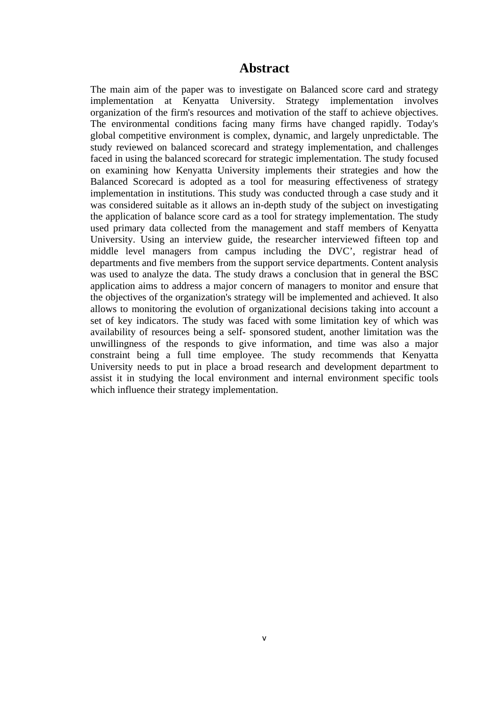# **Abstract**

<span id="page-4-0"></span>The main aim of the paper was to investigate on Balanced score card and strategy implementation at Kenyatta University. Strategy implementation involves organization of the firm's resources and motivation of the staff to achieve objectives. The environmental conditions facing many firms have changed rapidly. Today's global competitive environment is complex, dynamic, and largely unpredictable. The study reviewed on balanced scorecard and strategy implementation, and challenges faced in using the balanced scorecard for strategic implementation. The study focused on examining how Kenyatta University implements their strategies and how the Balanced Scorecard is adopted as a tool for measuring effectiveness of strategy implementation in institutions. This study was conducted through a case study and it was considered suitable as it allows an in-depth study of the subject on investigating the application of balance score card as a tool for strategy implementation. The study used primary data collected from the management and staff members of Kenyatta University. Using an interview guide, the researcher interviewed fifteen top and middle level managers from campus including the DVC', registrar head of departments and five members from the support service departments. Content analysis was used to analyze the data. The study draws a conclusion that in general the BSC application aims to address a major concern of managers to monitor and ensure that the objectives of the organization's strategy will be implemented and achieved. It also allows to monitoring the evolution of organizational decisions taking into account a set of key indicators. The study was faced with some limitation key of which was availability of resources being a self- sponsored student, another limitation was the unwillingness of the responds to give information, and time was also a major constraint being a full time employee. The study recommends that Kenyatta University needs to put in place a broad research and development department to assist it in studying the local environment and internal environment specific tools which influence their strategy implementation.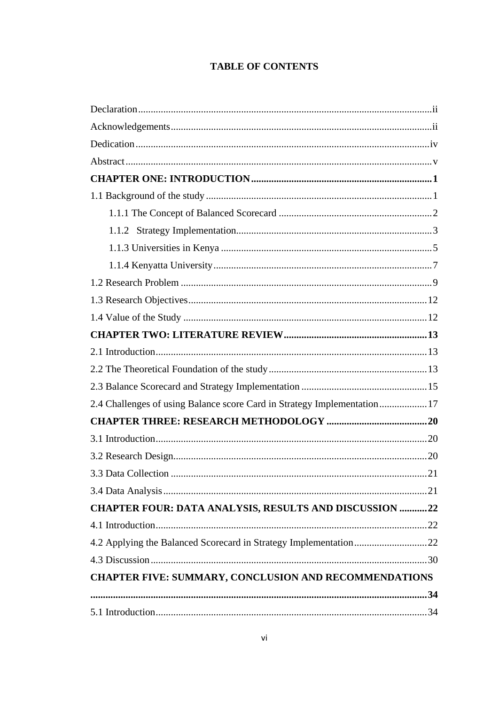# **TABLE OF CONTENTS**

| 2.4 Challenges of using Balance score Card in Strategy Implementation 17 |  |
|--------------------------------------------------------------------------|--|
|                                                                          |  |
|                                                                          |  |
|                                                                          |  |
|                                                                          |  |
|                                                                          |  |
| <b>CHAPTER FOUR: DATA ANALYSIS, RESULTS AND DISCUSSION 22</b>            |  |
|                                                                          |  |
| 4.2 Applying the Balanced Scorecard in Strategy Implementation22         |  |
|                                                                          |  |
| <b>CHAPTER FIVE: SUMMARY, CONCLUSION AND RECOMMENDATIONS</b>             |  |
|                                                                          |  |
|                                                                          |  |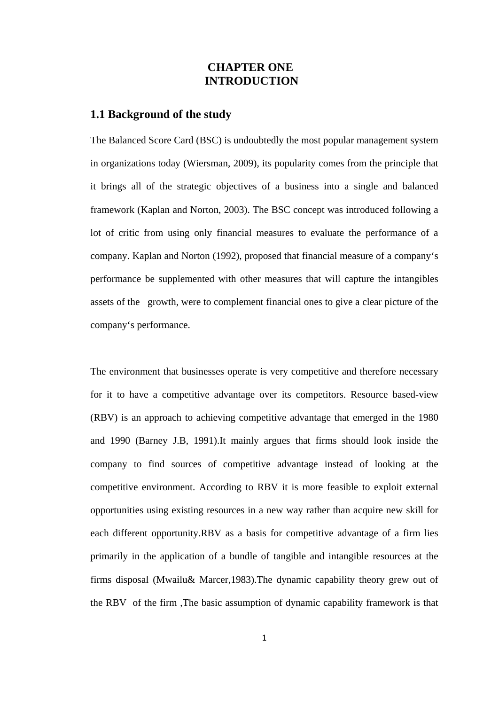# <span id="page-7-2"></span><span id="page-7-1"></span> **CHAPTER ONE INTRODUCTION**

#### <span id="page-7-0"></span>**1.1 Background of the study**

The Balanced Score Card (BSC) is undoubtedly the most popular management system in organizations today (Wiersman, 2009), its popularity comes from the principle that it brings all of the strategic objectives of a business into a single and balanced framework (Kaplan and Norton, 2003). The BSC concept was introduced following a lot of critic from using only financial measures to evaluate the performance of a company. Kaplan and Norton (1992), proposed that financial measure of a company's performance be supplemented with other measures that will capture the intangibles assets of the growth, were to complement financial ones to give a clear picture of the company's performance.

The environment that businesses operate is very competitive and therefore necessary for it to have a competitive advantage over its competitors. Resource based-view (RBV) is an approach to achieving competitive advantage that emerged in the 1980 and 1990 (Barney J.B, 1991).It mainly argues that firms should look inside the company to find sources of competitive advantage instead of looking at the competitive environment. According to RBV it is more feasible to exploit external opportunities using existing resources in a new way rather than acquire new skill for each different opportunity.RBV as a basis for competitive advantage of a firm lies primarily in the application of a bundle of tangible and intangible resources at the firms disposal (Mwailu& Marcer,1983).The dynamic capability theory grew out of the RBV of the firm ,The basic assumption of dynamic capability framework is that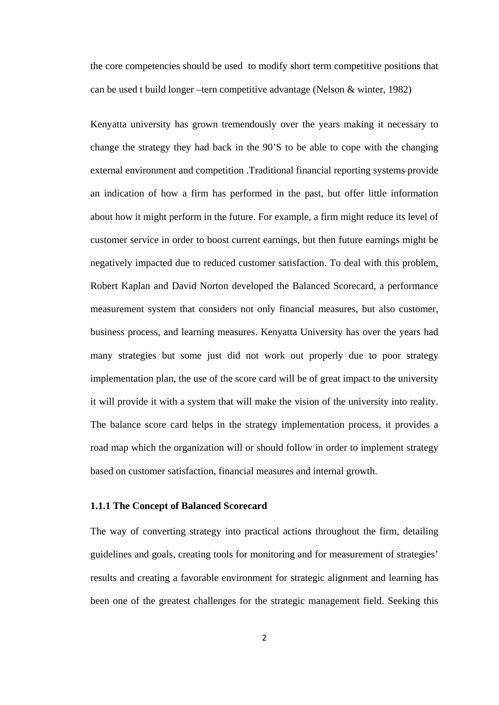the core competencies should be used to modify short term competitive positions that can be used t build longer –tern competitive advantage (Nelson & winter, 1982)

Kenyatta university has grown tremendously over the years making it necessary to change the strategy they had back in the 90'S to be able to cope with the changing external environment and competition .Traditional financial reporting systems provide an indication of how a firm has performed in the past, but offer little information about how it might perform in the future. For example, a firm might reduce its level of customer service in order to boost current earnings, but then future earnings might be negatively impacted due to reduced customer satisfaction. To deal with this problem, Robert Kaplan and David Norton developed the Balanced Scorecard, a performance measurement system that considers not only financial measures, but also customer, business process, and learning measures. Kenyatta University has over the years had many strategies but some just did not work out properly due to poor strategy implementation plan, the use of the score card will be of great impact to the university it will provide it with a system that will make the vision of the university into reality. The balance score card helps in the strategy implementation process, it provides a road map which the organization will or should follow in order to implement strategy based on customer satisfaction, financial measures and internal growth.

#### <span id="page-8-0"></span>**1.1.1 The Concept of Balanced Scorecard**

The way of converting strategy into practical actions throughout the firm, detailing guidelines and goals, creating tools for monitoring and for measurement of strategies' results and creating a favorable environment for strategic alignment and learning has been one of the greatest challenges for the strategic management field. Seeking this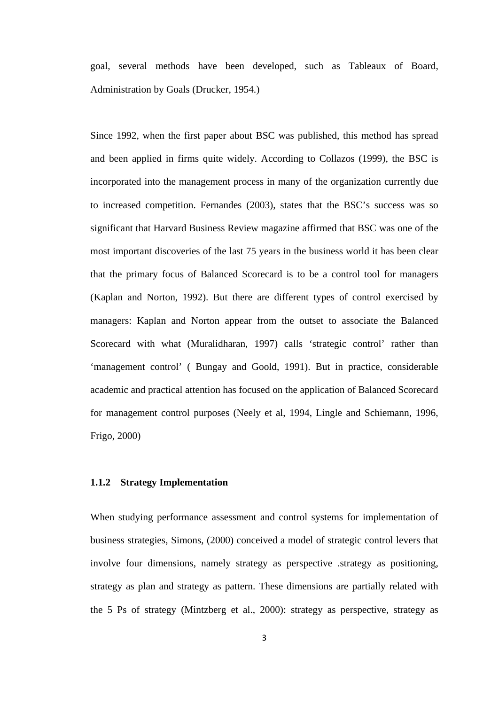goal, several methods have been developed, such as Tableaux of Board, Administration by Goals (Drucker, 1954.)

Since 1992, when the first paper about BSC was published, this method has spread and been applied in firms quite widely. According to Collazos (1999), the BSC is incorporated into the management process in many of the organization currently due to increased competition. Fernandes (2003), states that the BSC's success was so significant that Harvard Business Review magazine affirmed that BSC was one of the most important discoveries of the last 75 years in the business world it has been clear that the primary focus of Balanced Scorecard is to be a control tool for managers (Kaplan and Norton, 1992). But there are different types of control exercised by managers: Kaplan and Norton appear from the outset to associate the Balanced Scorecard with what (Muralidharan, 1997) calls 'strategic control' rather than 'management control' ( Bungay and Goold, 1991). But in practice, considerable academic and practical attention has focused on the application of Balanced Scorecard for management control purposes (Neely et al, 1994, Lingle and Schiemann, 1996, Frigo, 2000)

#### <span id="page-9-0"></span>**1.1.2 Strategy Implementation**

When studying performance assessment and control systems for implementation of business strategies, Simons, (2000) conceived a model of strategic control levers that involve four dimensions, namely strategy as perspective .strategy as positioning, strategy as plan and strategy as pattern. These dimensions are partially related with the 5 Ps of strategy (Mintzberg et al., 2000): strategy as perspective, strategy as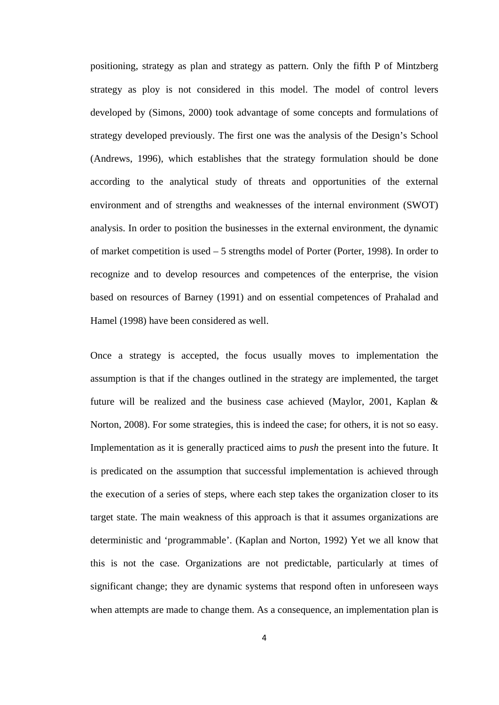positioning, strategy as plan and strategy as pattern. Only the fifth P of Mintzberg strategy as ploy is not considered in this model. The model of control levers developed by (Simons, 2000) took advantage of some concepts and formulations of strategy developed previously. The first one was the analysis of the Design's School (Andrews, 1996), which establishes that the strategy formulation should be done according to the analytical study of threats and opportunities of the external environment and of strengths and weaknesses of the internal environment (SWOT) analysis. In order to position the businesses in the external environment, the dynamic of market competition is used – 5 strengths model of Porter (Porter, 1998). In order to recognize and to develop resources and competences of the enterprise, the vision based on resources of Barney (1991) and on essential competences of Prahalad and Hamel (1998) have been considered as well.

Once a strategy is accepted, the focus usually moves to implementation the assumption is that if the changes outlined in the strategy are implemented, the target future will be realized and the business case achieved (Maylor, 2001, Kaplan & Norton, 2008). For some strategies, this is indeed the case; for others, it is not so easy. Implementation as it is generally practiced aims to *push* the present into the future. It is predicated on the assumption that successful implementation is achieved through the execution of a series of steps, where each step takes the organization closer to its target state. The main weakness of this approach is that it assumes organizations are deterministic and 'programmable'. (Kaplan and Norton, 1992) Yet we all know that this is not the case. Organizations are not predictable, particularly at times of significant change; they are dynamic systems that respond often in unforeseen ways when attempts are made to change them. As a consequence, an implementation plan is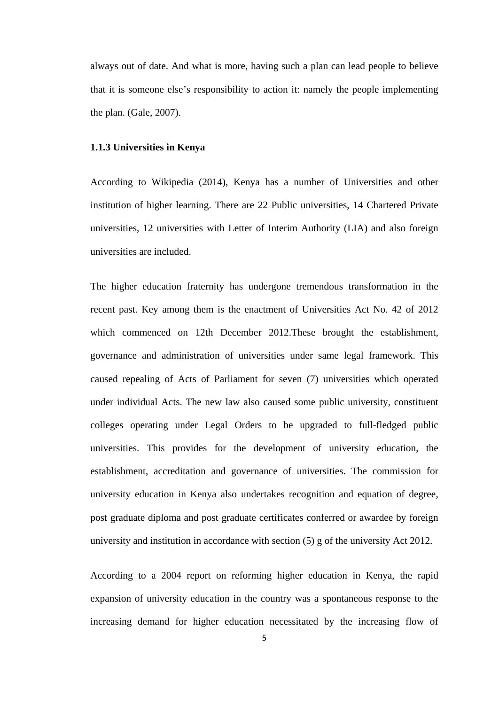always out of date. And what is more, having such a plan can lead people to believe that it is someone else's responsibility to action it: namely the people implementing the plan. (Gale, 2007).

#### <span id="page-11-0"></span>**1.1.3 Universities in Kenya**

According to Wikipedia (2014), Kenya has a number of Universities and other institution of higher learning. There are 22 Public universities, 14 Chartered Private universities, 12 universities with Letter of Interim Authority (LIA) and also foreign universities are included.

The higher education fraternity has undergone tremendous transformation in the recent past. Key among them is the enactment of Universities Act No. 42 of 2012 which commenced on 12th December 2012.These brought the establishment, governance and administration of universities under same legal framework. This caused repealing of Acts of Parliament for seven (7) universities which operated under individual Acts. The new law also caused some public university, constituent colleges operating under Legal Orders to be upgraded to full-fledged public universities. This provides for the development of university education, the establishment, accreditation and governance of universities. The commission for university education in Kenya also undertakes recognition and equation of degree, post graduate diploma and post graduate certificates conferred or awardee by foreign university and institution in accordance with section (5) g of the university Act 2012.

According to a 2004 report on reforming higher education in Kenya, the rapid expansion of university education in the country was a spontaneous response to the increasing demand for higher education necessitated by the increasing flow of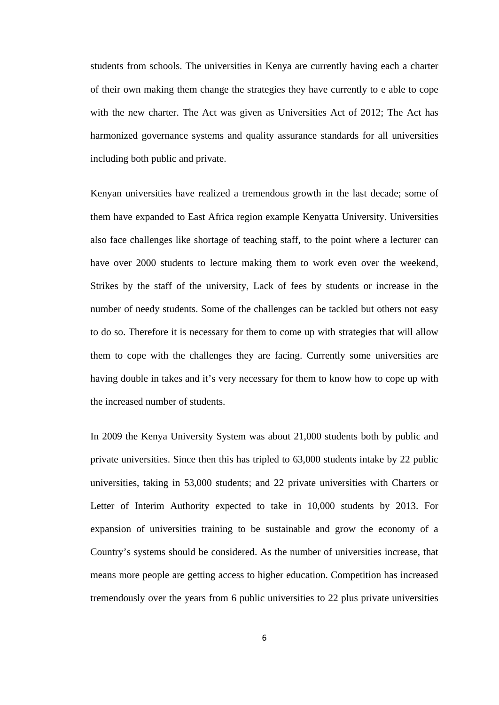students from schools. The universities in Kenya are currently having each a charter of their own making them change the strategies they have currently to e able to cope with the new charter. The Act was given as Universities Act of 2012; The Act has harmonized governance systems and quality assurance standards for all universities including both public and private.

Kenyan universities have realized a tremendous growth in the last decade; some of them have expanded to East Africa region example Kenyatta University. Universities also face challenges like shortage of teaching staff, to the point where a lecturer can have over 2000 students to lecture making them to work even over the weekend, Strikes by the staff of the university, Lack of fees by students or increase in the number of needy students. Some of the challenges can be tackled but others not easy to do so. Therefore it is necessary for them to come up with strategies that will allow them to cope with the challenges they are facing. Currently some universities are having double in takes and it's very necessary for them to know how to cope up with the increased number of students.

In 2009 the Kenya University System was about 21,000 students both by public and private universities. Since then this has tripled to 63,000 students intake by 22 public universities, taking in 53,000 students; and 22 private universities with Charters or Letter of Interim Authority expected to take in 10,000 students by 2013. For expansion of universities training to be sustainable and grow the economy of a Country's systems should be considered. As the number of universities increase, that means more people are getting access to higher education. Competition has increased tremendously over the years from 6 public universities to 22 plus private universities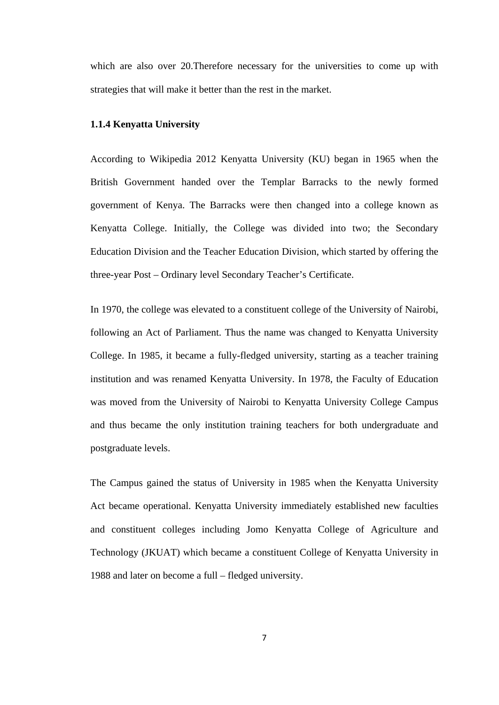which are also over 20. Therefore necessary for the universities to come up with strategies that will make it better than the rest in the market.

#### <span id="page-13-0"></span>**1.1.4 Kenyatta University**

According to Wikipedia 2012 Kenyatta University (KU) began in 1965 when the British Government handed over the Templar Barracks to the newly formed government of Kenya. The Barracks were then changed into a college known as Kenyatta College. Initially, the College was divided into two; the Secondary Education Division and the Teacher Education Division, which started by offering the three-year Post – Ordinary level Secondary Teacher's Certificate.

In 1970, the college was elevated to a constituent college of the University of Nairobi, following an Act of Parliament. Thus the name was changed to Kenyatta University College. In 1985, it became a fully-fledged university, starting as a teacher training institution and was renamed Kenyatta University. In 1978, the Faculty of Education was moved from the University of Nairobi to Kenyatta University College Campus and thus became the only institution training teachers for both undergraduate and postgraduate levels.

The Campus gained the status of University in 1985 when the Kenyatta University Act became operational. Kenyatta University immediately established new faculties and constituent colleges including Jomo Kenyatta College of Agriculture and Technology (JKUAT) which became a constituent College of Kenyatta University in 1988 and later on become a full – fledged university.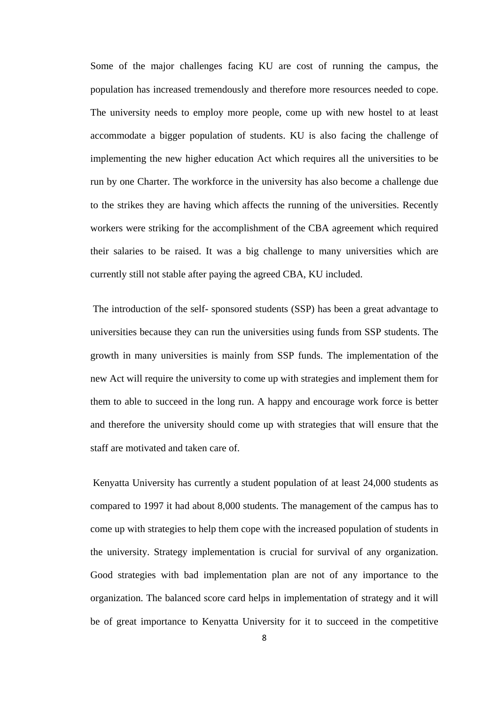Some of the major challenges facing KU are cost of running the campus, the population has increased tremendously and therefore more resources needed to cope. The university needs to employ more people, come up with new hostel to at least accommodate a bigger population of students. KU is also facing the challenge of implementing the new higher education Act which requires all the universities to be run by one Charter. The workforce in the university has also become a challenge due to the strikes they are having which affects the running of the universities. Recently workers were striking for the accomplishment of the CBA agreement which required their salaries to be raised. It was a big challenge to many universities which are currently still not stable after paying the agreed CBA, KU included.

The introduction of the self- sponsored students (SSP) has been a great advantage to universities because they can run the universities using funds from SSP students. The growth in many universities is mainly from SSP funds. The implementation of the new Act will require the university to come up with strategies and implement them for them to able to succeed in the long run. A happy and encourage work force is better and therefore the university should come up with strategies that will ensure that the staff are motivated and taken care of.

Kenyatta University has currently a student population of at least 24,000 students as compared to 1997 it had about 8,000 students. The management of the campus has to come up with strategies to help them cope with the increased population of students in the university. Strategy implementation is crucial for survival of any organization. Good strategies with bad implementation plan are not of any importance to the organization. The balanced score card helps in implementation of strategy and it will be of great importance to Kenyatta University for it to succeed in the competitive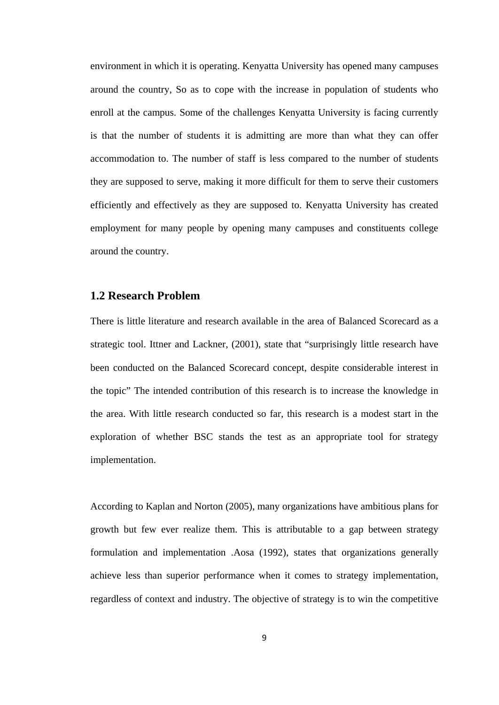environment in which it is operating. Kenyatta University has opened many campuses around the country, So as to cope with the increase in population of students who enroll at the campus. Some of the challenges Kenyatta University is facing currently is that the number of students it is admitting are more than what they can offer accommodation to. The number of staff is less compared to the number of students they are supposed to serve, making it more difficult for them to serve their customers efficiently and effectively as they are supposed to. Kenyatta University has created employment for many people by opening many campuses and constituents college around the country.

#### <span id="page-15-0"></span>**1.2 Research Problem**

There is little literature and research available in the area of Balanced Scorecard as a strategic tool. Ittner and Lackner, (2001), state that "surprisingly little research have been conducted on the Balanced Scorecard concept, despite considerable interest in the topic" The intended contribution of this research is to increase the knowledge in the area. With little research conducted so far, this research is a modest start in the exploration of whether BSC stands the test as an appropriate tool for strategy implementation.

According to Kaplan and Norton (2005), many organizations have ambitious plans for growth but few ever realize them. This is attributable to a gap between strategy formulation and implementation .Aosa (1992), states that organizations generally achieve less than superior performance when it comes to strategy implementation, regardless of context and industry. The objective of strategy is to win the competitive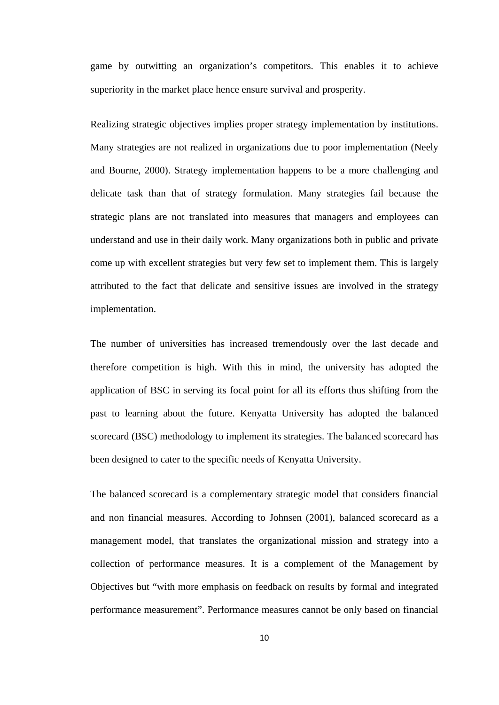game by outwitting an organization's competitors. This enables it to achieve superiority in the market place hence ensure survival and prosperity.

Realizing strategic objectives implies proper strategy implementation by institutions. Many strategies are not realized in organizations due to poor implementation (Neely and Bourne, 2000). Strategy implementation happens to be a more challenging and delicate task than that of strategy formulation. Many strategies fail because the strategic plans are not translated into measures that managers and employees can understand and use in their daily work. Many organizations both in public and private come up with excellent strategies but very few set to implement them. This is largely attributed to the fact that delicate and sensitive issues are involved in the strategy implementation.

The number of universities has increased tremendously over the last decade and therefore competition is high. With this in mind, the university has adopted the application of BSC in serving its focal point for all its efforts thus shifting from the past to learning about the future. Kenyatta University has adopted the balanced scorecard (BSC) methodology to implement its strategies. The balanced scorecard has been designed to cater to the specific needs of Kenyatta University.

The balanced scorecard is a complementary strategic model that considers financial and non financial measures. According to Johnsen (2001), balanced scorecard as a management model, that translates the organizational mission and strategy into a collection of performance measures. It is a complement of the Management by Objectives but "with more emphasis on feedback on results by formal and integrated performance measurement". Performance measures cannot be only based on financial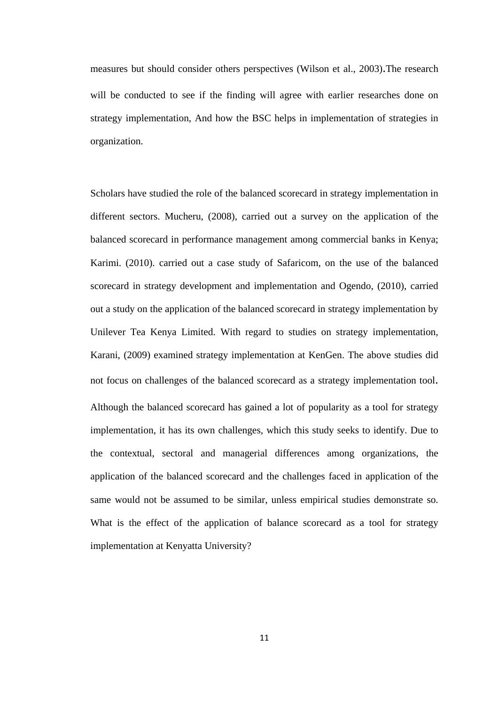measures but should consider others perspectives (Wilson et al., 2003).The research will be conducted to see if the finding will agree with earlier researches done on strategy implementation, And how the BSC helps in implementation of strategies in organization.

Scholars have studied the role of the balanced scorecard in strategy implementation in different sectors. Mucheru, (2008), carried out a survey on the application of the balanced scorecard in performance management among commercial banks in Kenya; Karimi. (2010). carried out a case study of Safaricom, on the use of the balanced scorecard in strategy development and implementation and Ogendo, (2010), carried out a study on the application of the balanced scorecard in strategy implementation by Unilever Tea Kenya Limited. With regard to studies on strategy implementation, Karani, (2009) examined strategy implementation at KenGen. The above studies did not focus on challenges of the balanced scorecard as a strategy implementation tool. Although the balanced scorecard has gained a lot of popularity as a tool for strategy implementation, it has its own challenges, which this study seeks to identify. Due to the contextual, sectoral and managerial differences among organizations, the application of the balanced scorecard and the challenges faced in application of the same would not be assumed to be similar, unless empirical studies demonstrate so. What is the effect of the application of balance scorecard as a tool for strategy implementation at Kenyatta University?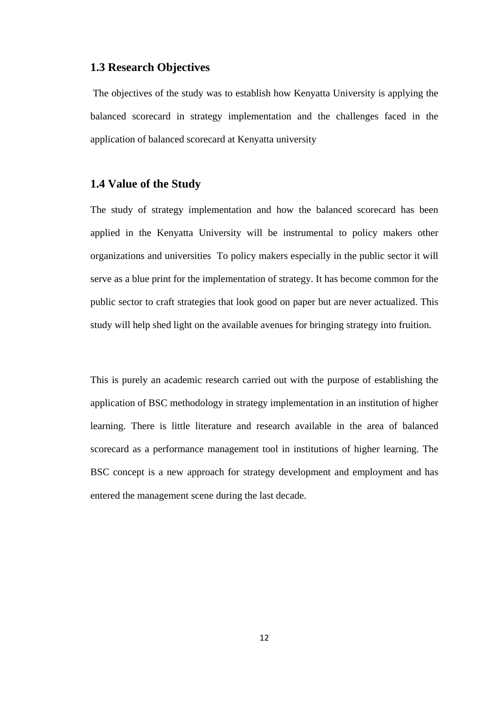#### **1.3 Research Objectives**

<span id="page-18-0"></span>The objectives of the study was to establish how Kenyatta University is applying the balanced scorecard in strategy implementation and the challenges faced in the application of balanced scorecard at Kenyatta university

#### <span id="page-18-1"></span>**1.4 Value of the Study**

The study of strategy implementation and how the balanced scorecard has been applied in the Kenyatta University will be instrumental to policy makers other organizations and universities To policy makers especially in the public sector it will serve as a blue print for the implementation of strategy. It has become common for the public sector to craft strategies that look good on paper but are never actualized. This study will help shed light on the available avenues for bringing strategy into fruition.

This is purely an academic research carried out with the purpose of establishing the application of BSC methodology in strategy implementation in an institution of higher learning. There is little literature and research available in the area of balanced scorecard as a performance management tool in institutions of higher learning. The BSC concept is a new approach for strategy development and employment and has entered the management scene during the last decade.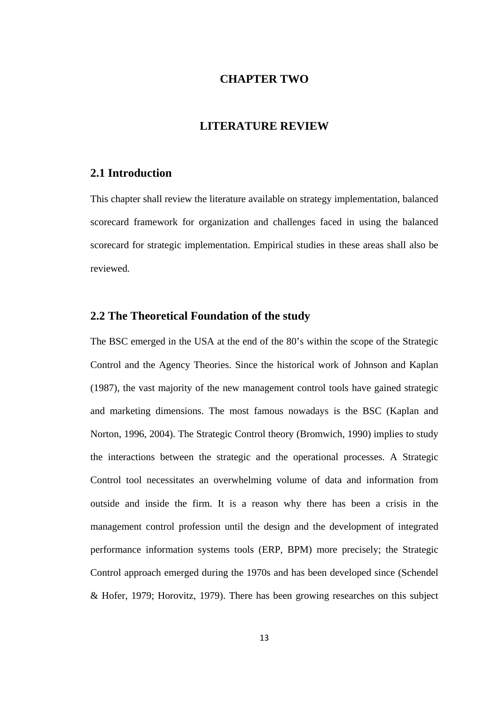# **CHAPTER TWO**

# **LITERATURE REVIEW**

## <span id="page-19-2"></span><span id="page-19-1"></span><span id="page-19-0"></span>**2.1 Introduction**

<span id="page-19-3"></span>This chapter shall review the literature available on strategy implementation, balanced scorecard framework for organization and challenges faced in using the balanced scorecard for strategic implementation. Empirical studies in these areas shall also be reviewed.

# **2.2 The Theoretical Foundation of the study**

The BSC emerged in the USA at the end of the 80's within the scope of the Strategic Control and the Agency Theories. Since the historical work of Johnson and Kaplan (1987), the vast majority of the new management control tools have gained strategic and marketing dimensions. The most famous nowadays is the BSC (Kaplan and Norton, 1996, 2004). The Strategic Control theory (Bromwich, 1990) implies to study the interactions between the strategic and the operational processes. A Strategic Control tool necessitates an overwhelming volume of data and information from outside and inside the firm. It is a reason why there has been a crisis in the management control profession until the design and the development of integrated performance information systems tools (ERP, BPM) more precisely; the Strategic Control approach emerged during the 1970s and has been developed since (Schendel & Hofer, 1979; Horovitz, 1979). There has been growing researches on this subject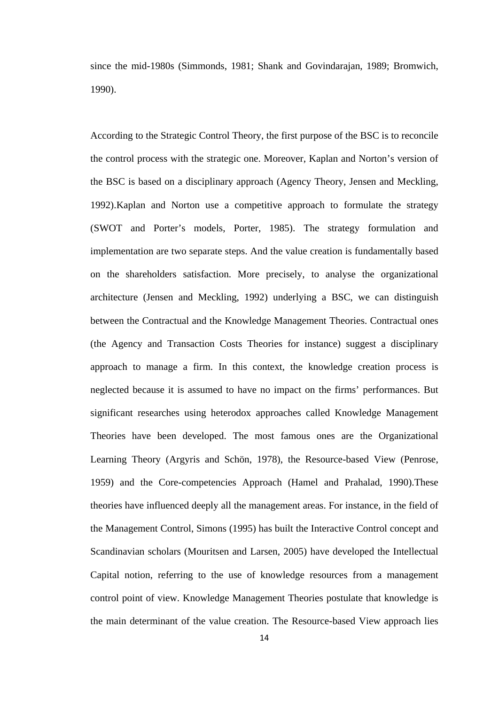since the mid-1980s (Simmonds, 1981; Shank and Govindarajan, 1989; Bromwich, 1990).

According to the Strategic Control Theory, the first purpose of the BSC is to reconcile the control process with the strategic one. Moreover, Kaplan and Norton's version of the BSC is based on a disciplinary approach (Agency Theory, Jensen and Meckling, 1992).Kaplan and Norton use a competitive approach to formulate the strategy (SWOT and Porter's models, Porter, 1985). The strategy formulation and implementation are two separate steps. And the value creation is fundamentally based on the shareholders satisfaction. More precisely, to analyse the organizational architecture (Jensen and Meckling, 1992) underlying a BSC, we can distinguish between the Contractual and the Knowledge Management Theories. Contractual ones (the Agency and Transaction Costs Theories for instance) suggest a disciplinary approach to manage a firm. In this context, the knowledge creation process is neglected because it is assumed to have no impact on the firms' performances. But significant researches using heterodox approaches called Knowledge Management Theories have been developed. The most famous ones are the Organizational Learning Theory (Argyris and Schön, 1978), the Resource-based View (Penrose, 1959) and the Core-competencies Approach (Hamel and Prahalad, 1990).These theories have influenced deeply all the management areas. For instance, in the field of the Management Control, Simons (1995) has built the Interactive Control concept and Scandinavian scholars (Mouritsen and Larsen, 2005) have developed the Intellectual Capital notion, referring to the use of knowledge resources from a management control point of view. Knowledge Management Theories postulate that knowledge is the main determinant of the value creation. The Resource-based View approach lies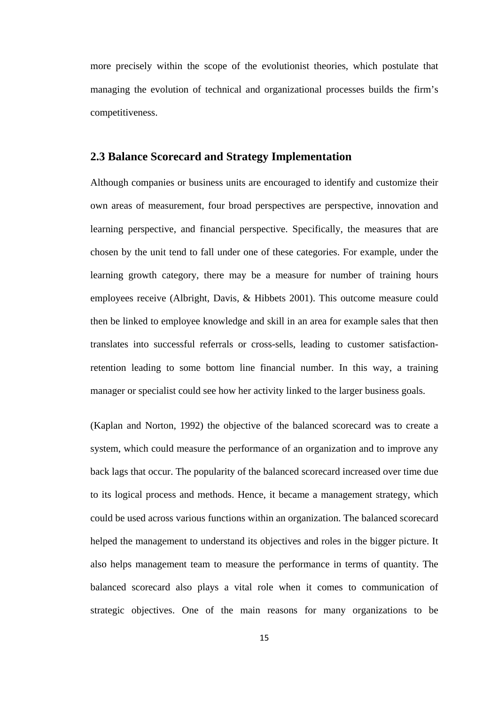more precisely within the scope of the evolutionist theories, which postulate that managing the evolution of technical and organizational processes builds the firm's competitiveness.

#### <span id="page-21-0"></span>**2.3 Balance Scorecard and Strategy Implementation**

Although companies or business units are encouraged to identify and customize their own areas of measurement, four broad perspectives are perspective, innovation and learning perspective, and financial perspective. Specifically, the measures that are chosen by the unit tend to fall under one of these categories. For example, under the learning growth category, there may be a measure for number of training hours employees receive (Albright, Davis, & Hibbets 2001). This outcome measure could then be linked to employee knowledge and skill in an area for example sales that then translates into successful referrals or cross-sells, leading to customer satisfactionretention leading to some bottom line financial number. In this way, a training manager or specialist could see how her activity linked to the larger business goals.

(Kaplan and Norton, 1992) the objective of the balanced scorecard was to create a system, which could measure the performance of an organization and to improve any back lags that occur. The popularity of the balanced scorecard increased over time due to its logical process and methods. Hence, it became a management strategy, which could be used across various functions within an organization. The balanced scorecard helped the management to understand its objectives and roles in the bigger picture. It also helps management team to measure the performance in terms of quantity. The balanced scorecard also plays a vital role when it comes to communication of strategic objectives. One of the main reasons for many organizations to be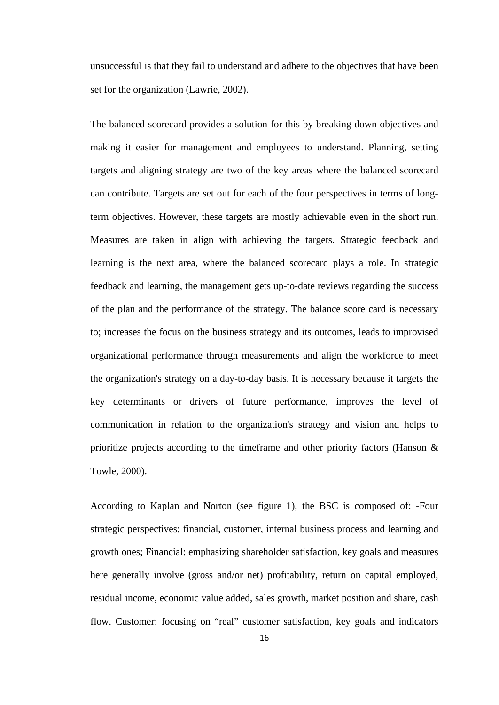unsuccessful is that they fail to understand and adhere to the objectives that have been set for the organization (Lawrie, 2002).

The balanced scorecard provides a solution for this by breaking down objectives and making it easier for management and employees to understand. Planning, setting targets and aligning strategy are two of the key areas where the balanced scorecard can contribute. Targets are set out for each of the four perspectives in terms of longterm objectives. However, these targets are mostly achievable even in the short run. Measures are taken in align with achieving the targets. Strategic feedback and learning is the next area, where the balanced scorecard plays a role. In strategic feedback and learning, the management gets up-to-date reviews regarding the success of the plan and the performance of the strategy. The balance score card is necessary to; increases the focus on the business strategy and its outcomes, leads to improvised organizational performance through measurements and align the workforce to meet the organization's strategy on a day-to-day basis. It is necessary because it targets the key determinants or drivers of future performance, improves the level of communication in relation to the organization's strategy and vision and helps to prioritize projects according to the timeframe and other priority factors (Hanson & Towle, 2000).

According to Kaplan and Norton (see figure 1), the BSC is composed of: -Four strategic perspectives: financial, customer, internal business process and learning and growth ones; Financial: emphasizing shareholder satisfaction, key goals and measures here generally involve (gross and/or net) profitability, return on capital employed, residual income, economic value added, sales growth, market position and share, cash flow. Customer: focusing on "real" customer satisfaction, key goals and indicators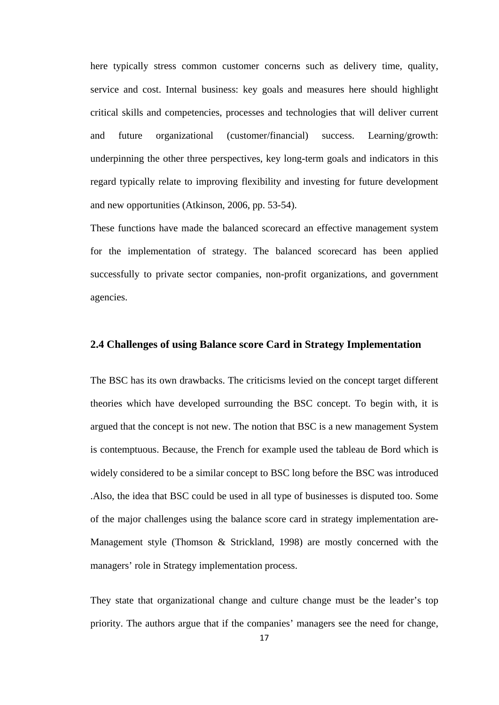here typically stress common customer concerns such as delivery time, quality, service and cost. Internal business: key goals and measures here should highlight critical skills and competencies, processes and technologies that will deliver current and future organizational (customer/financial) success. Learning/growth: underpinning the other three perspectives, key long-term goals and indicators in this regard typically relate to improving flexibility and investing for future development and new opportunities [\(Atkinson, 2006,](http://www.emeraldinsight.com/case_studies.htm/case_studies.htm?articleid=1580792%23idb7) pp. 53-54).

These functions have made the balanced scorecard an effective management system for the implementation of strategy. The balanced scorecard has been applied successfully to private sector companies, non-profit organizations, and government agencies.

#### <span id="page-23-0"></span>**2.4 Challenges of using Balance score Card in Strategy Implementation**

The BSC has its own drawbacks. The criticisms levied on the concept target different theories which have developed surrounding the BSC concept. To begin with, it is argued that the concept is not new. The notion that BSC is a new management System is contemptuous. Because, the French for example used the tableau de Bord which is widely considered to be a similar concept to BSC long before the BSC was introduced .Also, the idea that BSC could be used in all type of businesses is disputed too. Some of the major challenges using the balance score card in strategy implementation are-Management style (Thomson & Strickland, 1998) are mostly concerned with the managers' role in Strategy implementation process.

They state that organizational change and culture change must be the leader's top priority. The authors argue that if the companies' managers see the need for change,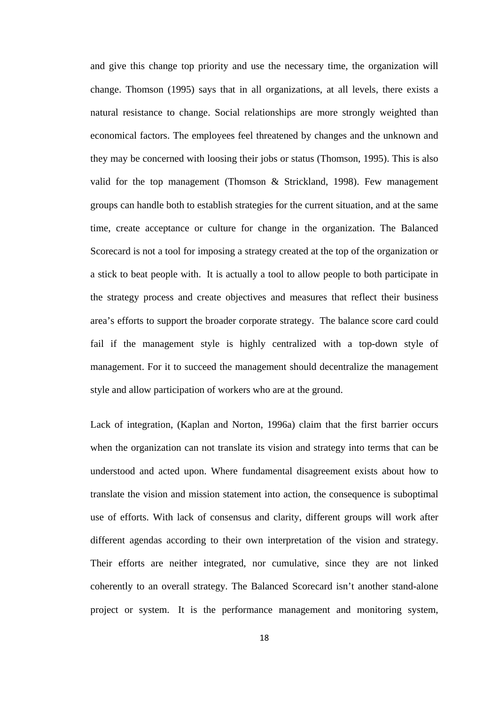and give this change top priority and use the necessary time, the organization will change. Thomson (1995) says that in all organizations, at all levels, there exists a natural resistance to change. Social relationships are more strongly weighted than economical factors. The employees feel threatened by changes and the unknown and they may be concerned with loosing their jobs or status (Thomson, 1995). This is also valid for the top management (Thomson & Strickland, 1998). Few management groups can handle both to establish strategies for the current situation, and at the same time, create acceptance or culture for change in the organization. The Balanced Scorecard is not a tool for imposing a strategy created at the top of the organization or a stick to beat people with. It is actually a tool to allow people to both participate in the strategy process and create objectives and measures that reflect their business area's efforts to support the broader corporate strategy. The balance score card could fail if the management style is highly centralized with a top-down style of management. For it to succeed the management should decentralize the management style and allow participation of workers who are at the ground.

Lack of integration, (Kaplan and Norton, 1996a) claim that the first barrier occurs when the organization can not translate its vision and strategy into terms that can be understood and acted upon. Where fundamental disagreement exists about how to translate the vision and mission statement into action, the consequence is suboptimal use of efforts. With lack of consensus and clarity, different groups will work after different agendas according to their own interpretation of the vision and strategy. Their efforts are neither integrated, nor cumulative, since they are not linked coherently to an overall strategy. The Balanced Scorecard isn't another stand-alone project or system. It is the performance management and monitoring system,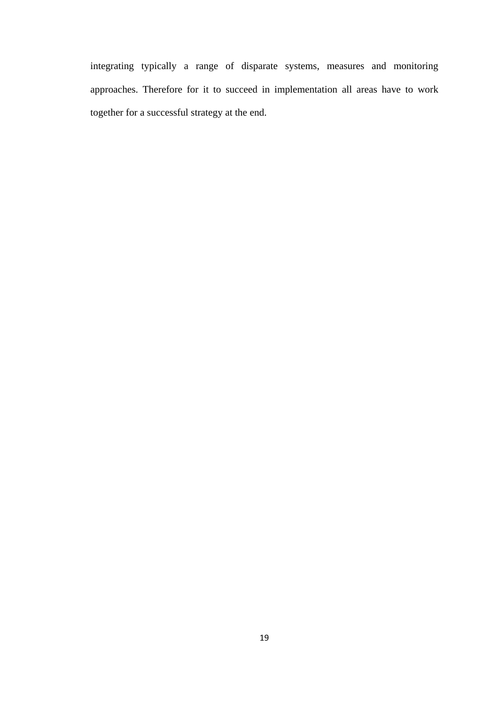integrating typically a range of disparate systems, measures and monitoring approaches. Therefore for it to succeed in implementation all areas have to work together for a successful strategy at the end.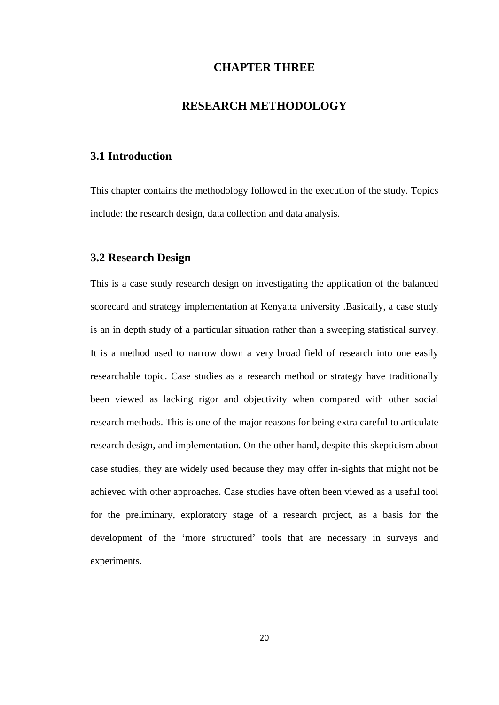## **CHAPTER THREE**

# **RESEARCH METHODOLOGY**

# <span id="page-26-2"></span><span id="page-26-1"></span><span id="page-26-0"></span>**3.1 Introduction**

This chapter contains the methodology followed in the execution of the study. Topics include: the research design, data collection and data analysis.

#### <span id="page-26-3"></span>**3.2 Research Design**

<span id="page-26-4"></span>This is a case study research design on investigating the application of the balanced scorecard and strategy implementation at Kenyatta university .Basically, a case study is an in depth study of a particular situation rather than a sweeping statistical [survey.](https://explorable.com/survey-research-design) It is a method used to narrow down a very broad field of research into one easily researchable topic. Case studies as a research method or strategy have traditionally been viewed as lacking rigor and objectivity when compared with other social research methods. This is one of the major reasons for being extra careful to articulate research design, and implementation. On the other hand, despite this skepticism about case studies, they are widely used because they may offer in-sights that might not be achieved with other approaches. Case studies have often been viewed as a useful tool for the preliminary, exploratory stage of a research project, as a basis for the development of the 'more structured' tools that are necessary in surveys and experiments.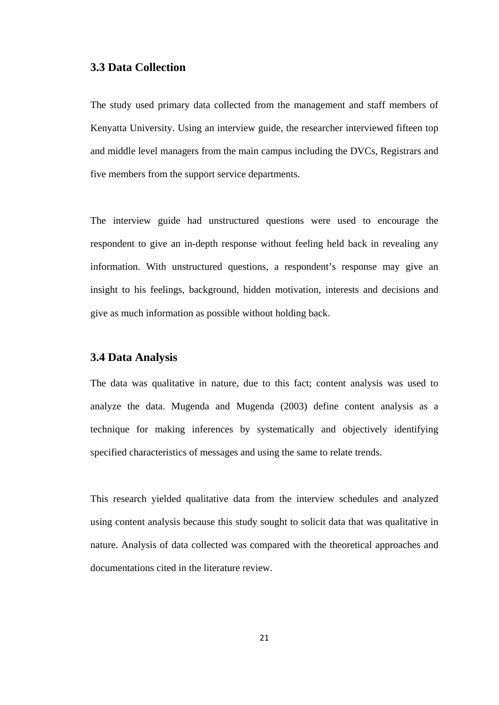#### **3.3 Data Collection**

The study used primary data collected from the management and staff members of Kenyatta University. Using an interview guide, the researcher interviewed fifteen top and middle level managers from the main campus including the DVCs, Registrars and five members from the support service departments.

The interview guide had unstructured questions were used to encourage the respondent to give an in-depth response without feeling held back in revealing any information. With unstructured questions, a respondent's response may give an insight to his feelings, background, hidden motivation, interests and decisions and give as much information as possible without holding back.

#### <span id="page-27-0"></span>**3.4 Data Analysis**

The data was qualitative in nature, due to this fact; content analysis was used to analyze the data. Mugenda and Mugenda (2003) define content analysis as a technique for making inferences by systematically and objectively identifying specified characteristics of messages and using the same to relate trends.

This research yielded qualitative data from the interview schedules and analyzed using content analysis because this study sought to solicit data that was qualitative in nature. Analysis of data collected was compared with the theoretical approaches and documentations cited in the literature review.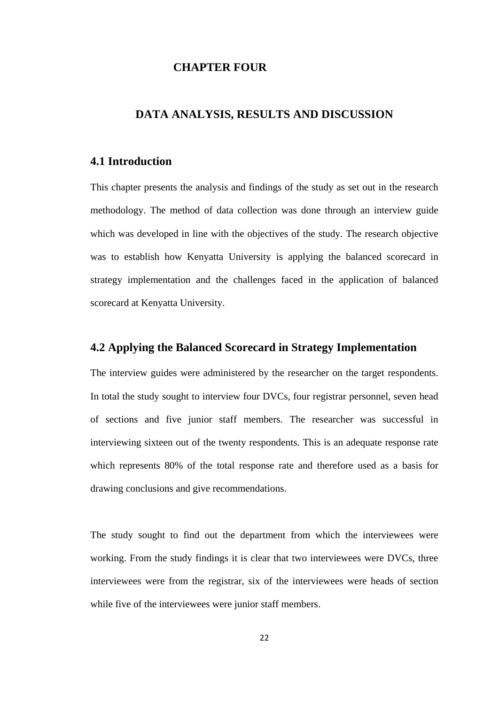# **CHAPTER FOUR**

# <span id="page-28-1"></span><span id="page-28-0"></span>**DATA ANALYSIS, RESULTS AND DISCUSSION**

# <span id="page-28-2"></span>**4.1 Introduction**

This chapter presents the analysis and findings of the study as set out in the research methodology. The method of data collection was done through an interview guide which was developed in line with the objectives of the study. The research objective was to establish how Kenyatta University is applying the balanced scorecard in strategy implementation and the challenges faced in the application of balanced scorecard at Kenyatta University.

# <span id="page-28-3"></span>**4.2 Applying the Balanced Scorecard in Strategy Implementation**

The interview guides were administered by the researcher on the target respondents. In total the study sought to interview four DVCs, four registrar personnel, seven head of sections and five junior staff members. The researcher was successful in interviewing sixteen out of the twenty respondents. This is an adequate response rate which represents 80% of the total response rate and therefore used as a basis for drawing conclusions and give recommendations.

The study sought to find out the department from which the interviewees were working. From the study findings it is clear that two interviewees were DVCs, three interviewees were from the registrar, six of the interviewees were heads of section while five of the interviewees were junior staff members.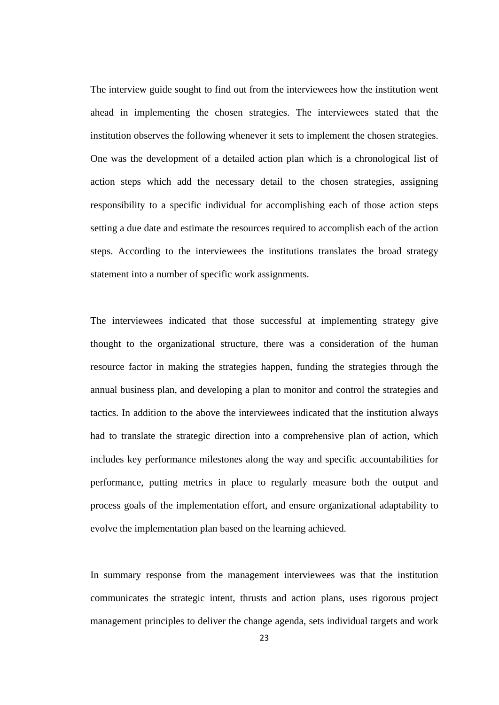The interview guide sought to find out from the interviewees how the institution went ahead in implementing the chosen strategies. The interviewees stated that the institution observes the following whenever it sets to implement the chosen strategies. One was the development of a detailed action plan which is a chronological list of action steps which add the necessary detail to the chosen strategies, assigning responsibility to a specific individual for accomplishing each of those action steps setting a due date and estimate the resources required to accomplish each of the action steps. According to the interviewees the institutions translates the broad strategy statement into a number of specific work assignments.

The interviewees indicated that those successful at implementing strategy give thought to the organizational structure, there was a consideration of the human resource factor in making the strategies happen, funding the strategies through the annual business plan, and developing a plan to monitor and control the strategies and tactics. In addition to the above the interviewees indicated that the institution always had to translate the strategic direction into a comprehensive plan of action, which includes key performance milestones along the way and specific accountabilities for performance, putting metrics in place to regularly measure both the output and process goals of the implementation effort, and ensure organizational adaptability to evolve the implementation plan based on the learning achieved.

In summary response from the management interviewees was that the institution communicates the strategic intent, thrusts and action plans, uses rigorous project management principles to deliver the change agenda, sets individual targets and work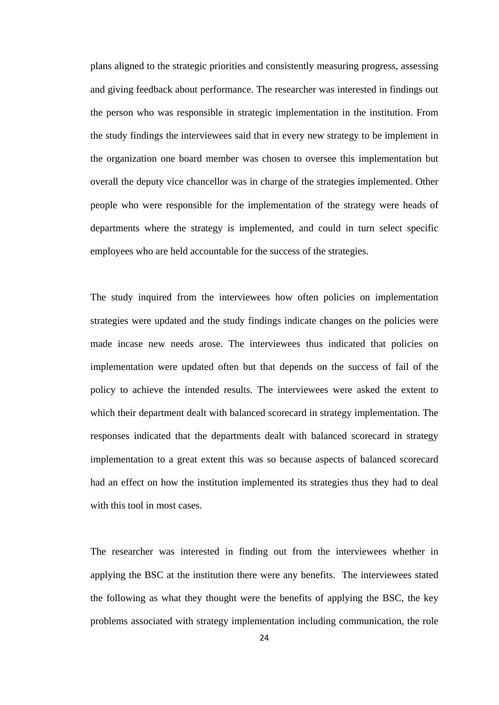plans aligned to the strategic priorities and consistently measuring progress, assessing and giving feedback about performance. The researcher was interested in findings out the person who was responsible in strategic implementation in the institution. From the study findings the interviewees said that in every new strategy to be implement in the organization one board member was chosen to oversee this implementation but overall the deputy vice chancellor was in charge of the strategies implemented. Other people who were responsible for the implementation of the strategy were heads of departments where the strategy is implemented, and could in turn select specific employees who are held accountable for the success of the strategies.

The study inquired from the interviewees how often policies on implementation strategies were updated and the study findings indicate changes on the policies were made incase new needs arose. The interviewees thus indicated that policies on implementation were updated often but that depends on the success of fail of the policy to achieve the intended results. The interviewees were asked the extent to which their department dealt with balanced scorecard in strategy implementation. The responses indicated that the departments dealt with balanced scorecard in strategy implementation to a great extent this was so because aspects of balanced scorecard had an effect on how the institution implemented its strategies thus they had to deal with this tool in most cases.

The researcher was interested in finding out from the interviewees whether in applying the BSC at the institution there were any benefits. The interviewees stated the following as what they thought were the benefits of applying the BSC, the key problems associated with strategy implementation including communication, the role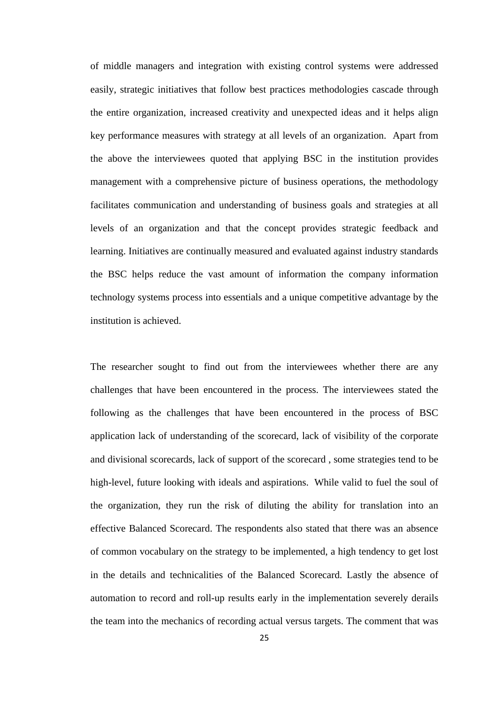of middle managers and integration with existing control systems were addressed easily, strategic initiatives that follow best practices methodologies cascade through the entire organization, increased creativity and unexpected ideas and it helps align key performance measures with strategy at all levels of an organization. Apart from the above the interviewees quoted that applying BSC in the institution provides management with a comprehensive picture of business operations, the methodology facilitates communication and understanding of business goals and strategies at all levels of an organization and that the concept provides strategic feedback and learning. Initiatives are continually measured and evaluated against industry standards the BSC helps reduce the vast amount of information the company information technology systems process into essentials and a unique competitive advantage by the institution is achieved.

The researcher sought to find out from the interviewees whether there are any challenges that have been encountered in the process. The interviewees stated the following as the challenges that have been encountered in the process of BSC application lack of understanding of the scorecard, lack of visibility of the corporate and divisional scorecards, lack of support of the scorecard , some strategies tend to be high-level, future looking with ideals and aspirations. While valid to fuel the soul of the organization, they run the risk of diluting the ability for translation into an effective Balanced Scorecard. The respondents also stated that there was an absence of common vocabulary on the strategy to be implemented, a high tendency to get lost in the details and technicalities of the Balanced Scorecard. Lastly the absence of automation to record and roll-up results early in the implementation severely derails the team into the mechanics of recording actual versus targets. The comment that was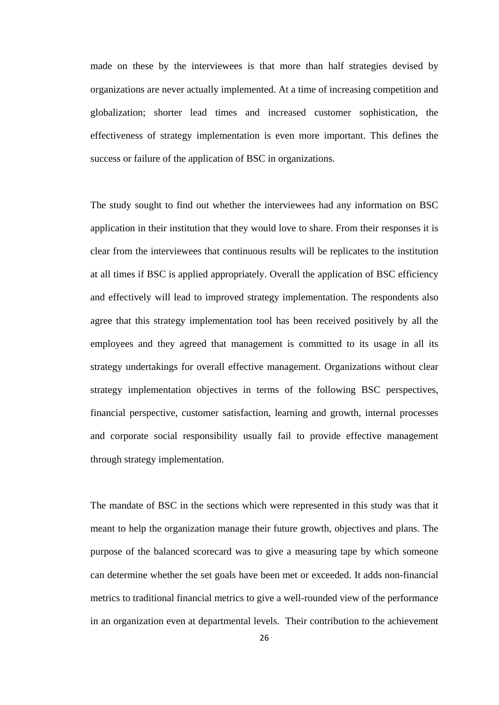made on these by the interviewees is that more than half strategies devised by organizations are never actually implemented. At a time of increasing competition and globalization; shorter lead times and increased customer sophistication, the effectiveness of strategy implementation is even more important. This defines the success or failure of the application of BSC in organizations.

The study sought to find out whether the interviewees had any information on BSC application in their institution that they would love to share. From their responses it is clear from the interviewees that continuous results will be replicates to the institution at all times if BSC is applied appropriately. Overall the application of BSC efficiency and effectively will lead to improved strategy implementation. The respondents also agree that this strategy implementation tool has been received positively by all the employees and they agreed that management is committed to its usage in all its strategy undertakings for overall effective management. Organizations without clear strategy implementation objectives in terms of the following BSC perspectives, financial perspective, customer satisfaction, learning and growth, internal processes and corporate social responsibility usually fail to provide effective management through strategy implementation.

The mandate of BSC in the sections which were represented in this study was that it meant to help the organization manage their future growth, objectives and plans. The purpose of the balanced scorecard was to give a measuring tape by which someone can determine whether the set goals have been met or exceeded. It adds non-financial metrics to traditional financial metrics to give a well-rounded view of the performance in an organization even at departmental levels. Their contribution to the achievement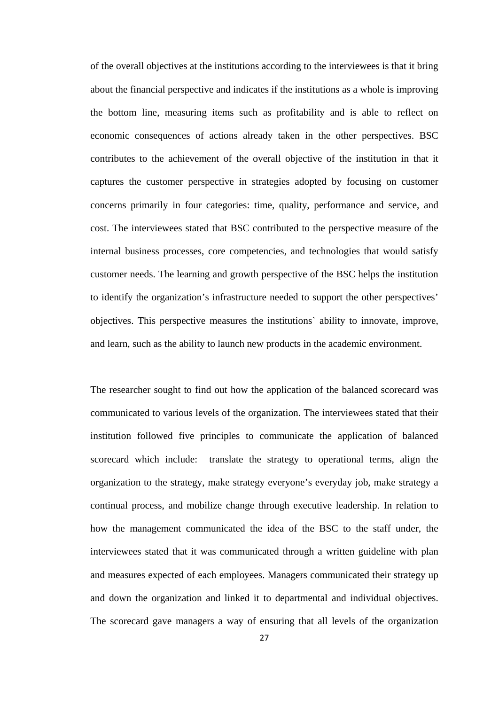of the overall objectives at the institutions according to the interviewees is that it bring about the financial perspective and indicates if the institutions as a whole is improving the bottom line, measuring items such as profitability and is able to reflect on economic consequences of actions already taken in the other perspectives. BSC contributes to the achievement of the overall objective of the institution in that it captures the customer perspective in strategies adopted by focusing on customer concerns primarily in four categories: time, quality, performance and service, and cost. The interviewees stated that BSC contributed to the perspective measure of the internal business processes, core competencies, and technologies that would satisfy customer needs. The learning and growth perspective of the BSC helps the institution to identify the organization's infrastructure needed to support the other perspectives' objectives. This perspective measures the institutions` ability to innovate, improve, and learn, such as the ability to launch new products in the academic environment.

The researcher sought to find out how the application of the balanced scorecard was communicated to various levels of the organization. The interviewees stated that their institution followed five principles to communicate the application of balanced scorecard which include: translate the strategy to operational terms, align the organization to the strategy, make strategy everyone's everyday job, make strategy a continual process, and mobilize change through executive leadership. In relation to how the management communicated the idea of the BSC to the staff under, the interviewees stated that it was communicated through a written guideline with plan and measures expected of each employees. Managers communicated their strategy up and down the organization and linked it to departmental and individual objectives. The scorecard gave managers a way of ensuring that all levels of the organization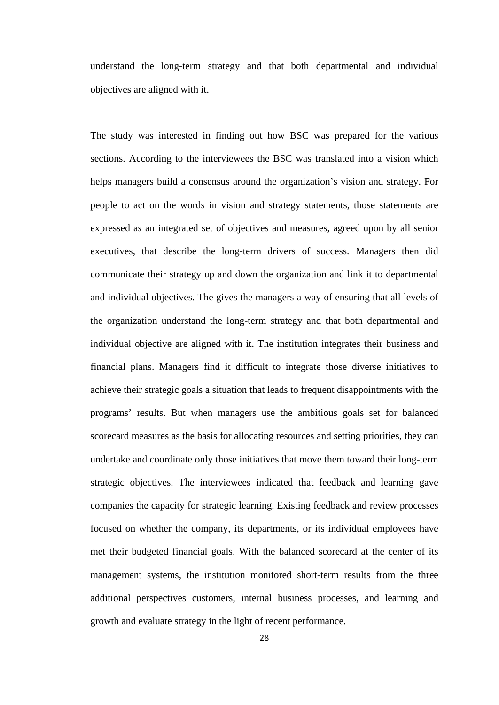understand the long-term strategy and that both departmental and individual objectives are aligned with it.

The study was interested in finding out how BSC was prepared for the various sections. According to the interviewees the BSC was translated into a vision which helps managers build a consensus around the organization's vision and strategy. For people to act on the words in vision and strategy statements, those statements are expressed as an integrated set of objectives and measures, agreed upon by all senior executives, that describe the long-term drivers of success. Managers then did communicate their strategy up and down the organization and link it to departmental and individual objectives. The gives the managers a way of ensuring that all levels of the organization understand the long-term strategy and that both departmental and individual objective are aligned with it. The institution integrates their business and financial plans. Managers find it difficult to integrate those diverse initiatives to achieve their strategic goals a situation that leads to frequent disappointments with the programs' results. But when managers use the ambitious goals set for balanced scorecard measures as the basis for allocating resources and setting priorities, they can undertake and coordinate only those initiatives that move them toward their long-term strategic objectives. The interviewees indicated that feedback and learning gave companies the capacity for strategic learning. Existing feedback and review processes focused on whether the company, its departments, or its individual employees have met their budgeted financial goals. With the balanced scorecard at the center of its management systems, the institution monitored short-term results from the three additional perspectives customers, internal business processes, and learning and growth and evaluate strategy in the light of recent performance.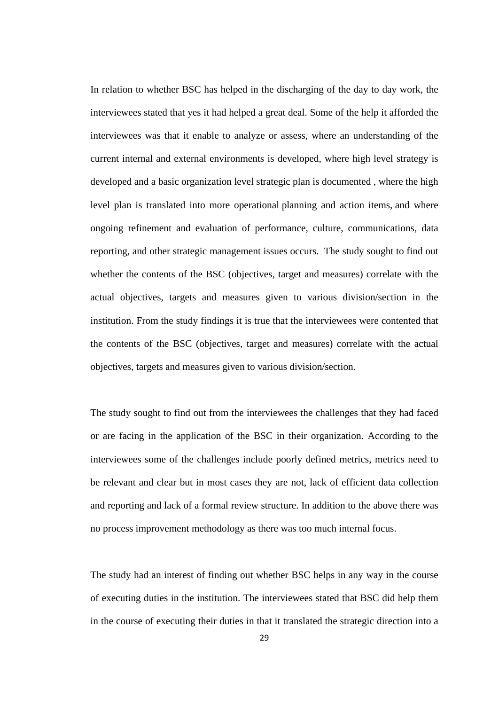In relation to whether BSC has helped in the discharging of the day to day work, the interviewees stated that yes it had helped a great deal. Some of the help it afforded the interviewees was that it enable to analyze or assess, where an understanding of the current internal and external environments is developed, where high level strategy is developed and a basic organization level strategic plan is documented , where the high level plan is translated into more operational planning and action items, and where ongoing refinement and evaluation of performance, culture, communications, data reporting, and other strategic management issues occurs. The study sought to find out whether the contents of the BSC (objectives, target and measures) correlate with the actual objectives, targets and measures given to various division/section in the institution. From the study findings it is true that the interviewees were contented that the contents of the BSC (objectives, target and measures) correlate with the actual objectives, targets and measures given to various division/section.

The study sought to find out from the interviewees the challenges that they had faced or are facing in the application of the BSC in their organization. According to the interviewees some of the challenges include poorly defined metrics, metrics need to be relevant and clear but in most cases they are not, lack of efficient data collection and reporting and lack of a formal review structure. In addition to the above there was no process improvement methodology as there was too much internal focus.

The study had an interest of finding out whether BSC helps in any way in the course of executing duties in the institution. The interviewees stated that BSC did help them in the course of executing their duties in that it translated the strategic direction into a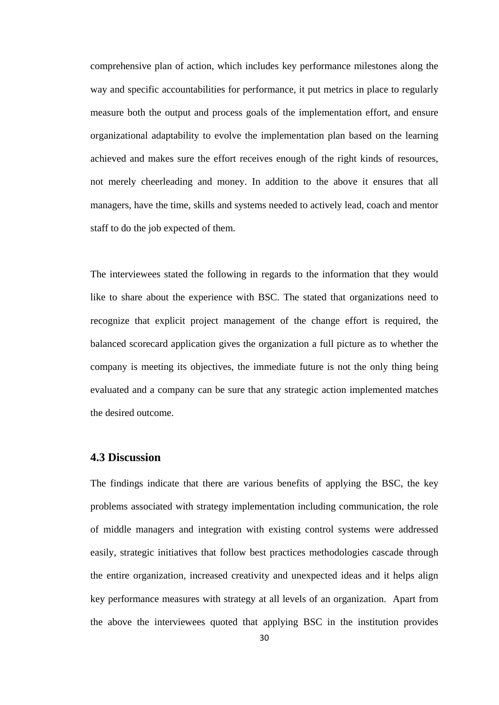comprehensive plan of action, which includes key performance milestones along the way and specific accountabilities for performance, it put metrics in place to regularly measure both the output and process goals of the implementation effort, and ensure organizational adaptability to evolve the implementation plan based on the learning achieved and makes sure the effort receives enough of the right kinds of resources, not merely cheerleading and money. In addition to the above it ensures that all managers, have the time, skills and systems needed to actively lead, coach and mentor staff to do the job expected of them.

The interviewees stated the following in regards to the information that they would like to share about the experience with BSC. The stated that organizations need to recognize that explicit project management of the change effort is required, the balanced scorecard application gives the organization a full picture as to whether the company is meeting its objectives, the immediate future is not the only thing being evaluated and a company can be sure that any strategic action implemented matches the desired outcome.

# <span id="page-36-0"></span>**4.3 Discussion**

The findings indicate that there are various benefits of applying the BSC, the key problems associated with strategy implementation including communication, the role of middle managers and integration with existing control systems were addressed easily, strategic initiatives that follow best practices methodologies cascade through the entire organization, increased creativity and unexpected ideas and it helps align key performance measures with strategy at all levels of an organization. Apart from the above the interviewees quoted that applying BSC in the institution provides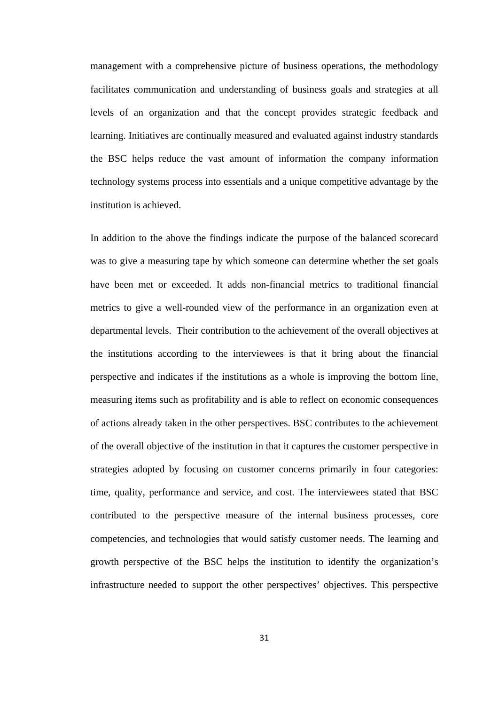management with a comprehensive picture of business operations, the methodology facilitates communication and understanding of business goals and strategies at all levels of an organization and that the concept provides strategic feedback and learning. Initiatives are continually measured and evaluated against industry standards the BSC helps reduce the vast amount of information the company information technology systems process into essentials and a unique competitive advantage by the institution is achieved.

In addition to the above the findings indicate the purpose of the balanced scorecard was to give a measuring tape by which someone can determine whether the set goals have been met or exceeded. It adds non-financial metrics to traditional financial metrics to give a well-rounded view of the performance in an organization even at departmental levels. Their contribution to the achievement of the overall objectives at the institutions according to the interviewees is that it bring about the financial perspective and indicates if the institutions as a whole is improving the bottom line, measuring items such as profitability and is able to reflect on economic consequences of actions already taken in the other perspectives. BSC contributes to the achievement of the overall objective of the institution in that it captures the customer perspective in strategies adopted by focusing on customer concerns primarily in four categories: time, quality, performance and service, and cost. The interviewees stated that BSC contributed to the perspective measure of the internal business processes, core competencies, and technologies that would satisfy customer needs. The learning and growth perspective of the BSC helps the institution to identify the organization's infrastructure needed to support the other perspectives' objectives. This perspective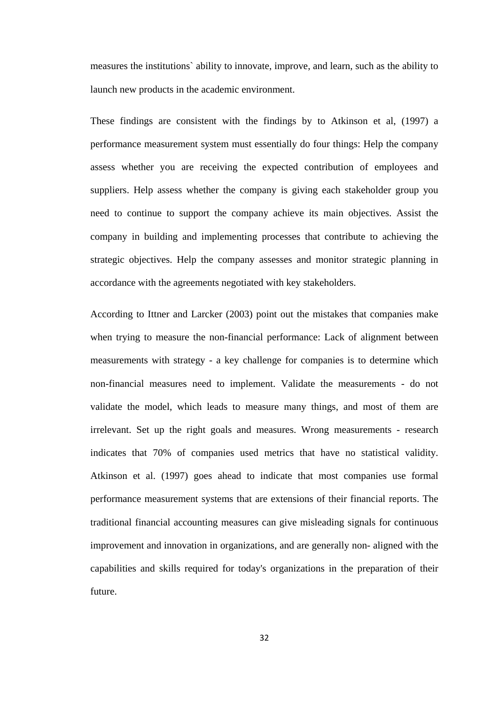measures the institutions` ability to innovate, improve, and learn, such as the ability to launch new products in the academic environment.

These findings are consistent with the findings by to Atkinson et al, (1997) a performance measurement system must essentially do four things: Help the company assess whether you are receiving the expected contribution of employees and suppliers. Help assess whether the company is giving each stakeholder group you need to continue to support the company achieve its main objectives. Assist the company in building and implementing processes that contribute to achieving the strategic objectives. Help the company assesses and monitor strategic planning in accordance with the agreements negotiated with key stakeholders.

According to Ittner and Larcker (2003) point out the mistakes that companies make when trying to measure the non-financial performance: Lack of alignment between measurements with strategy - a key challenge for companies is to determine which non-financial measures need to implement. Validate the measurements - do not validate the model, which leads to measure many things, and most of them are irrelevant. Set up the right goals and measures. Wrong measurements - research indicates that 70% of companies used metrics that have no statistical validity. Atkinson et al. (1997) goes ahead to indicate that most companies use formal performance measurement systems that are extensions of their financial reports. The traditional financial accounting measures can give misleading signals for continuous improvement and innovation in organizations, and are generally non- aligned with the capabilities and skills required for today's organizations in the preparation of their future.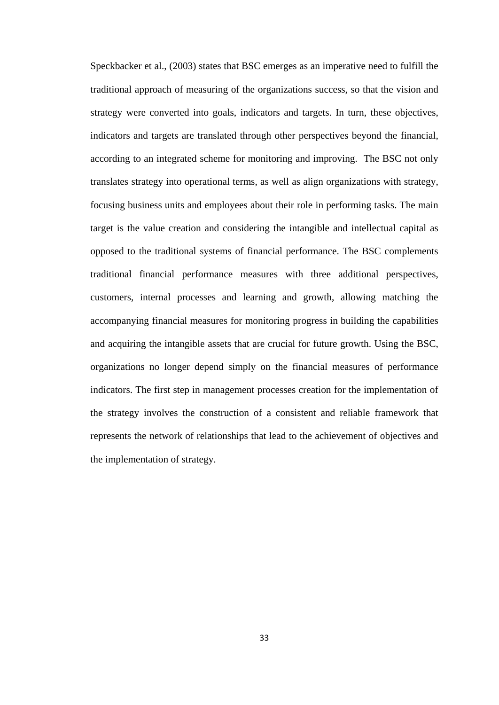Speckbacker et al., (2003) states that BSC emerges as an imperative need to fulfill the traditional approach of measuring of the organizations success, so that the vision and strategy were converted into goals, indicators and targets. In turn, these objectives, indicators and targets are translated through other perspectives beyond the financial, according to an integrated scheme for monitoring and improving. The BSC not only translates strategy into operational terms, as well as align organizations with strategy, focusing business units and employees about their role in performing tasks. The main target is the value creation and considering the intangible and intellectual capital as opposed to the traditional systems of financial performance. The BSC complements traditional financial performance measures with three additional perspectives, customers, internal processes and learning and growth, allowing matching the accompanying financial measures for monitoring progress in building the capabilities and acquiring the intangible assets that are crucial for future growth. Using the BSC, organizations no longer depend simply on the financial measures of performance indicators. The first step in management processes creation for the implementation of the strategy involves the construction of a consistent and reliable framework that represents the network of relationships that lead to the achievement of objectives and the implementation of strategy.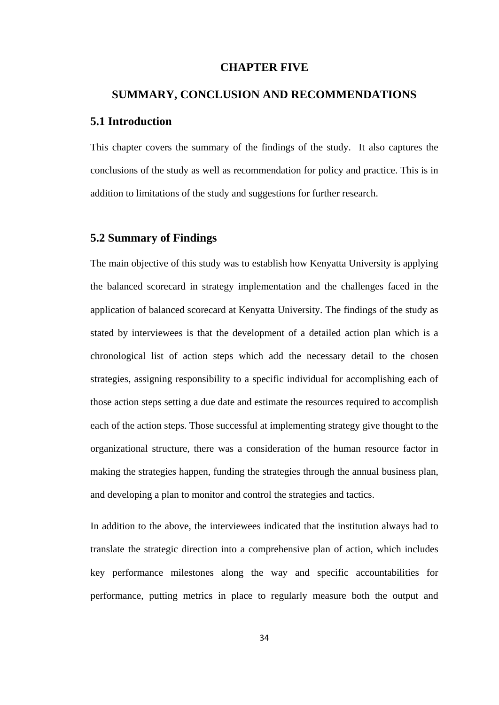#### **CHAPTER FIVE**

# <span id="page-40-2"></span><span id="page-40-1"></span><span id="page-40-0"></span>**SUMMARY, CONCLUSION AND RECOMMENDATIONS 5.1 Introduction**

This chapter covers the summary of the findings of the study. It also captures the conclusions of the study as well as recommendation for policy and practice. This is in addition to limitations of the study and suggestions for further research.

#### <span id="page-40-3"></span>**5.2 Summary of Findings**

The main objective of this study was to establish how Kenyatta University is applying the balanced scorecard in strategy implementation and the challenges faced in the application of balanced scorecard at Kenyatta University. The findings of the study as stated by interviewees is that the development of a detailed action plan which is a chronological list of action steps which add the necessary detail to the chosen strategies, assigning responsibility to a specific individual for accomplishing each of those action steps setting a due date and estimate the resources required to accomplish each of the action steps. Those successful at implementing strategy give thought to the organizational structure, there was a consideration of the human resource factor in making the strategies happen, funding the strategies through the annual business plan, and developing a plan to monitor and control the strategies and tactics.

In addition to the above, the interviewees indicated that the institution always had to translate the strategic direction into a comprehensive plan of action, which includes key performance milestones along the way and specific accountabilities for performance, putting metrics in place to regularly measure both the output and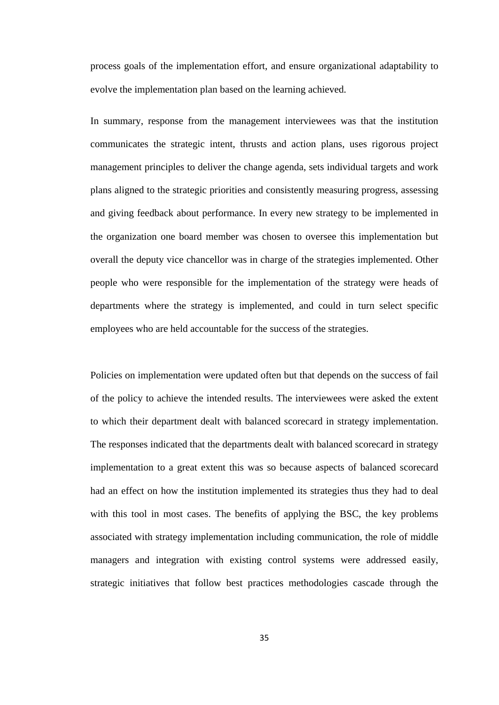process goals of the implementation effort, and ensure organizational adaptability to evolve the implementation plan based on the learning achieved.

In summary, response from the management interviewees was that the institution communicates the strategic intent, thrusts and action plans, uses rigorous project management principles to deliver the change agenda, sets individual targets and work plans aligned to the strategic priorities and consistently measuring progress, assessing and giving feedback about performance. In every new strategy to be implemented in the organization one board member was chosen to oversee this implementation but overall the deputy vice chancellor was in charge of the strategies implemented. Other people who were responsible for the implementation of the strategy were heads of departments where the strategy is implemented, and could in turn select specific employees who are held accountable for the success of the strategies.

Policies on implementation were updated often but that depends on the success of fail of the policy to achieve the intended results. The interviewees were asked the extent to which their department dealt with balanced scorecard in strategy implementation. The responses indicated that the departments dealt with balanced scorecard in strategy implementation to a great extent this was so because aspects of balanced scorecard had an effect on how the institution implemented its strategies thus they had to deal with this tool in most cases. The benefits of applying the BSC, the key problems associated with strategy implementation including communication, the role of middle managers and integration with existing control systems were addressed easily, strategic initiatives that follow best practices methodologies cascade through the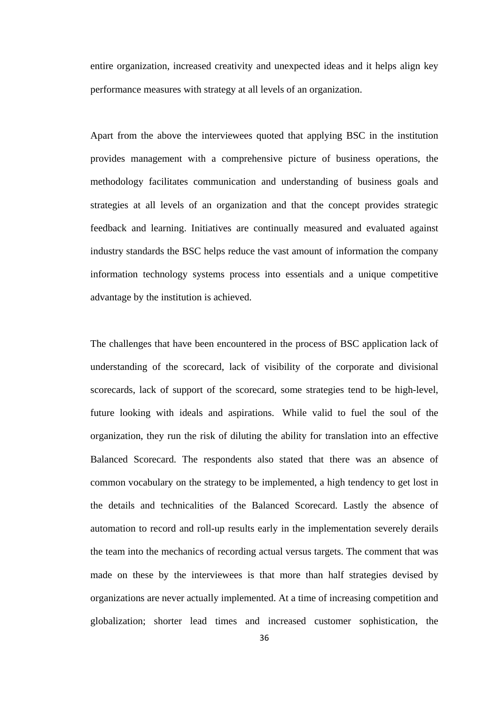entire organization, increased creativity and unexpected ideas and it helps align key performance measures with strategy at all levels of an organization.

Apart from the above the interviewees quoted that applying BSC in the institution provides management with a comprehensive picture of business operations, the methodology facilitates communication and understanding of business goals and strategies at all levels of an organization and that the concept provides strategic feedback and learning. Initiatives are continually measured and evaluated against industry standards the BSC helps reduce the vast amount of information the company information technology systems process into essentials and a unique competitive advantage by the institution is achieved.

The challenges that have been encountered in the process of BSC application lack of understanding of the scorecard, lack of visibility of the corporate and divisional scorecards, lack of support of the scorecard, some strategies tend to be high-level, future looking with ideals and aspirations. While valid to fuel the soul of the organization, they run the risk of diluting the ability for translation into an effective Balanced Scorecard. The respondents also stated that there was an absence of common vocabulary on the strategy to be implemented, a high tendency to get lost in the details and technicalities of the Balanced Scorecard. Lastly the absence of automation to record and roll-up results early in the implementation severely derails the team into the mechanics of recording actual versus targets. The comment that was made on these by the interviewees is that more than half strategies devised by organizations are never actually implemented. At a time of increasing competition and globalization; shorter lead times and increased customer sophistication, the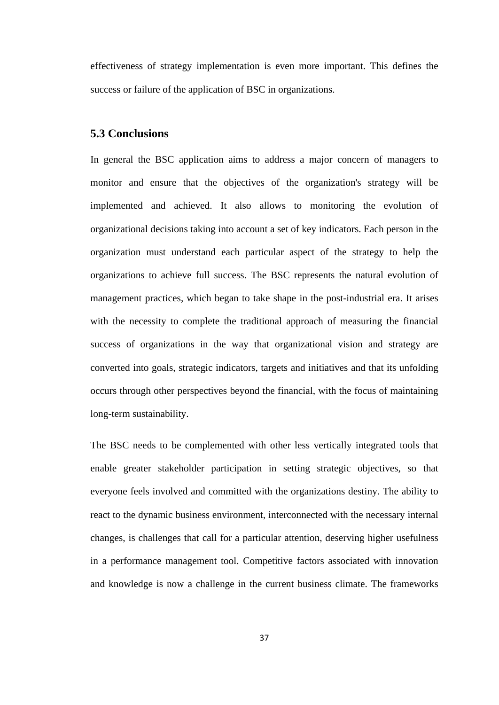effectiveness of strategy implementation is even more important. This defines the success or failure of the application of BSC in organizations.

# <span id="page-43-0"></span>**5.3 Conclusions**

In general the BSC application aims to address a major concern of managers to monitor and ensure that the objectives of the organization's strategy will be implemented and achieved. It also allows to monitoring the evolution of organizational decisions taking into account a set of key indicators. Each person in the organization must understand each particular aspect of the strategy to help the organizations to achieve full success. The BSC represents the natural evolution of management practices, which began to take shape in the post-industrial era. It arises with the necessity to complete the traditional approach of measuring the financial success of organizations in the way that organizational vision and strategy are converted into goals, strategic indicators, targets and initiatives and that its unfolding occurs through other perspectives beyond the financial, with the focus of maintaining long-term sustainability.

The BSC needs to be complemented with other less vertically integrated tools that enable greater stakeholder participation in setting strategic objectives, so that everyone feels involved and committed with the organizations destiny. The ability to react to the dynamic business environment, interconnected with the necessary internal changes, is challenges that call for a particular attention, deserving higher usefulness in a performance management tool. Competitive factors associated with innovation and knowledge is now a challenge in the current business climate. The frameworks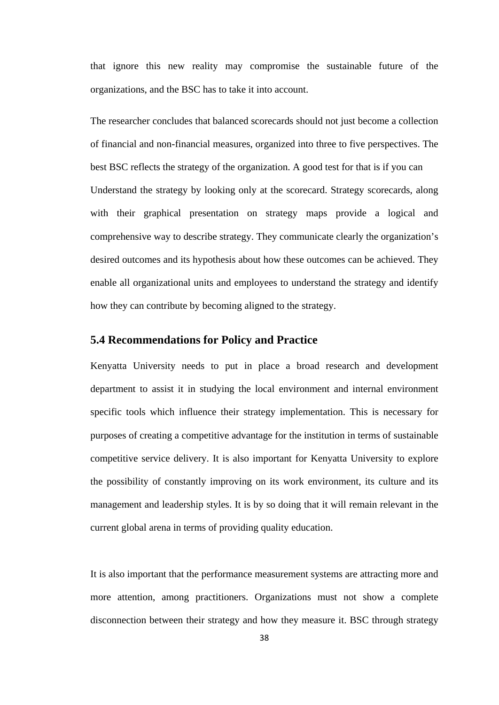that ignore this new reality may compromise the sustainable future of the organizations, and the BSC has to take it into account.

The researcher concludes that balanced scorecards should not just become a collection of financial and non-financial measures, organized into three to five perspectives. The best BSC reflects the strategy of the organization. A good test for that is if you can Understand the strategy by looking only at the scorecard. Strategy scorecards, along with their graphical presentation on strategy maps provide a logical and comprehensive way to describe strategy. They communicate clearly the organization's desired outcomes and its hypothesis about how these outcomes can be achieved. They enable all organizational units and employees to understand the strategy and identify how they can contribute by becoming aligned to the strategy.

#### <span id="page-44-0"></span>**5.4 Recommendations for Policy and Practice**

Kenyatta University needs to put in place a broad research and development department to assist it in studying the local environment and internal environment specific tools which influence their strategy implementation. This is necessary for purposes of creating a competitive advantage for the institution in terms of sustainable competitive service delivery. It is also important for Kenyatta University to explore the possibility of constantly improving on its work environment, its culture and its management and leadership styles. It is by so doing that it will remain relevant in the current global arena in terms of providing quality education.

It is also important that the performance measurement systems are attracting more and more attention, among practitioners. Organizations must not show a complete disconnection between their strategy and how they measure it. BSC through strategy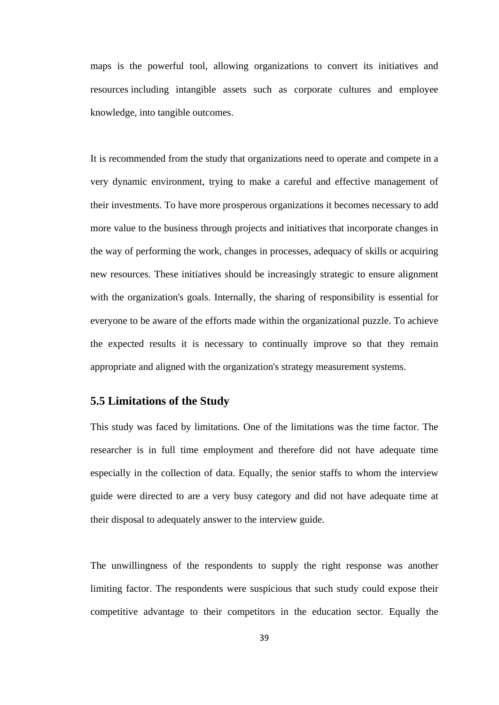maps is the powerful tool, allowing organizations to convert its initiatives and resources including intangible assets such as corporate cultures and employee knowledge, into tangible outcomes.

It is recommended from the study that organizations need to operate and compete in a very dynamic environment, trying to make a careful and effective management of their investments. To have more prosperous organizations it becomes necessary to add more value to the business through projects and initiatives that incorporate changes in the way of performing the work, changes in processes, adequacy of skills or acquiring new resources. These initiatives should be increasingly strategic to ensure alignment with the organization's goals. Internally, the sharing of responsibility is essential for everyone to be aware of the efforts made within the organizational puzzle. To achieve the expected results it is necessary to continually improve so that they remain appropriate and aligned with the organization's strategy measurement systems.

# <span id="page-45-0"></span>**5.5 Limitations of the Study**

This study was faced by limitations. One of the limitations was the time factor. The researcher is in full time employment and therefore did not have adequate time especially in the collection of data. Equally, the senior staffs to whom the interview guide were directed to are a very busy category and did not have adequate time at their disposal to adequately answer to the interview guide.

The unwillingness of the respondents to supply the right response was another limiting factor. The respondents were suspicious that such study could expose their competitive advantage to their competitors in the education sector. Equally the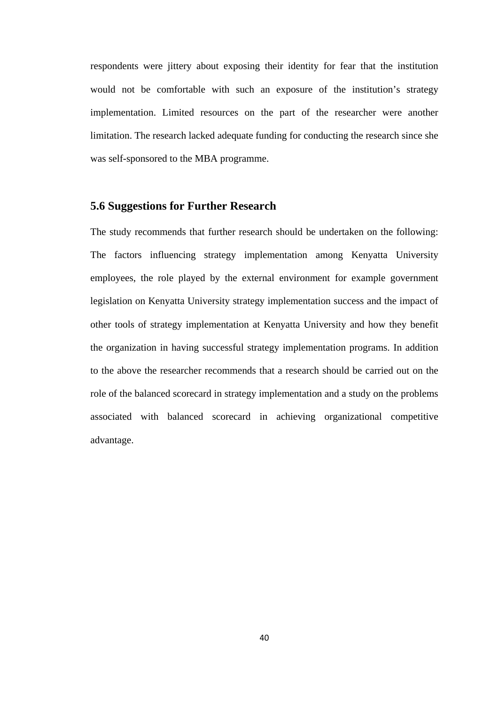respondents were jittery about exposing their identity for fear that the institution would not be comfortable with such an exposure of the institution's strategy implementation. Limited resources on the part of the researcher were another limitation. The research lacked adequate funding for conducting the research since she was self-sponsored to the MBA programme.

# <span id="page-46-0"></span>**5.6 Suggestions for Further Research**

<span id="page-46-1"></span>The study recommends that further research should be undertaken on the following: The factors influencing strategy implementation among Kenyatta University employees, the role played by the external environment for example government legislation on Kenyatta University strategy implementation success and the impact of other tools of strategy implementation at Kenyatta University and how they benefit the organization in having successful strategy implementation programs. In addition to the above the researcher recommends that a research should be carried out on the role of the balanced scorecard in strategy implementation and a study on the problems associated with balanced scorecard in achieving organizational competitive advantage.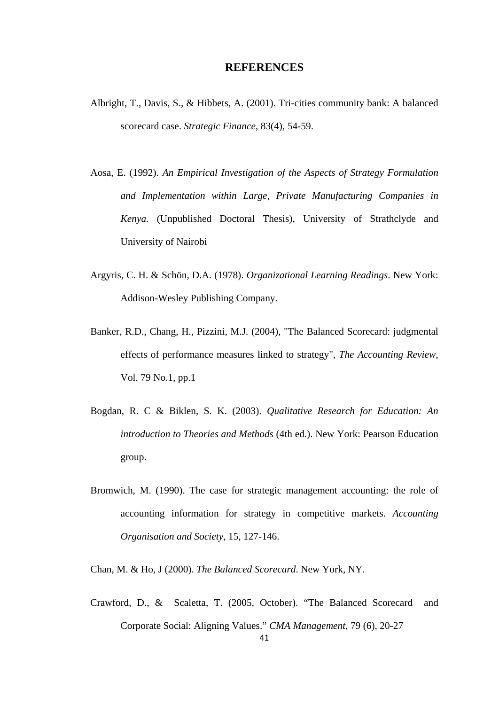#### **REFERENCES**

- Albright, T., Davis, S., & Hibbets, A. (2001). Tri-cities community bank: A balanced scorecard case. *Strategic Finance*, 83(4), 54-59.
- Aosa, E. (1992). *An Empirical Investigation of the Aspects of Strategy Formulation and Implementation within Large, Private Manufacturing Companies in Kenya.* (Unpublished Doctoral Thesis), University of Strathclyde and University of Nairobi
- Argyris, C. H. & Schön, D.A. (1978). *Organizational Learning Readings*. New York: Addison-Wesley Publishing Company.
- Banker, R.D., Chang, H., Pizzini, M.J. (2004), "The Balanced Scorecard: judgmental effects of performance measures linked to strategy", *The Accounting Review*, Vol. 79 No.1, pp.1
- Bogdan, R. C & Biklen, S. K. (2003). *Qualitative Research for Education: An introduction to Theories and Methods* (4th ed.). New York: Pearson Education group.
- Bromwich, M. (1990). The case for strategic management accounting: the role of accounting information for strategy in competitive markets. *Accounting Organisation and Society*, 15, 127-146.

Chan, M. & Ho, J (2000). *The Balanced Scorecard*. New York, NY.

Crawford, D., & Scaletta, T. (2005, October). "The Balanced Scorecard and Corporate Social: Aligning Values." *CMA Management*, 79 (6), 20-27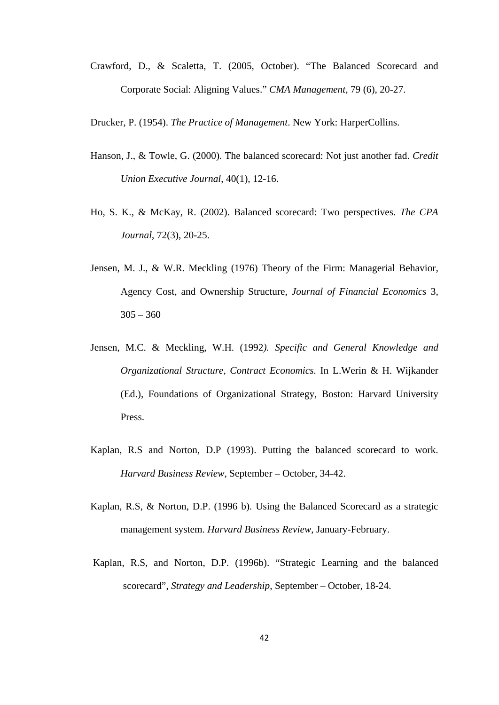Crawford, D., & Scaletta, T. (2005, October). "The Balanced Scorecard and Corporate Social: Aligning Values." *CMA Management*, 79 (6), 20-27.

Drucker, P. (1954). *The Practice of Management*. New York: HarperCollins.

- Hanson, J., & Towle, G. (2000). The balanced scorecard: Not just another fad. *Credit Union Executive Journal*, 40(1), 12-16.
- Ho, S. K., & McKay, R. (2002). Balanced scorecard: Two perspectives. *The CPA Journal*, 72(3), 20-25.
- Jensen, M. J., & W.R. Meckling (1976) Theory of the Firm: Managerial Behavior, Agency Cost, and Ownership Structure, *Journal of Financial Economics* 3,  $305 - 360$
- Jensen, M.C. & Meckling, W.H. (1992*). Specific and General Knowledge and Organizational Structure, Contract Economics.* In L.Werin & H. Wijkander (Ed.), Foundations of Organizational Strategy, Boston: Harvard University Press.
- Kaplan, R.S and Norton, D.P (1993). Putting the balanced scorecard to work. *Harvard Business Review*, September – October, 34-42.
- Kaplan, R.S, & Norton, D.P. (1996 b). Using the Balanced Scorecard as a strategic management system. *Harvard Business Review*, January-February.
- Kaplan, R.S, and Norton, D.P. (1996b). "Strategic Learning and the balanced scorecard", *Strategy and Leadership*, September – October, 18-24.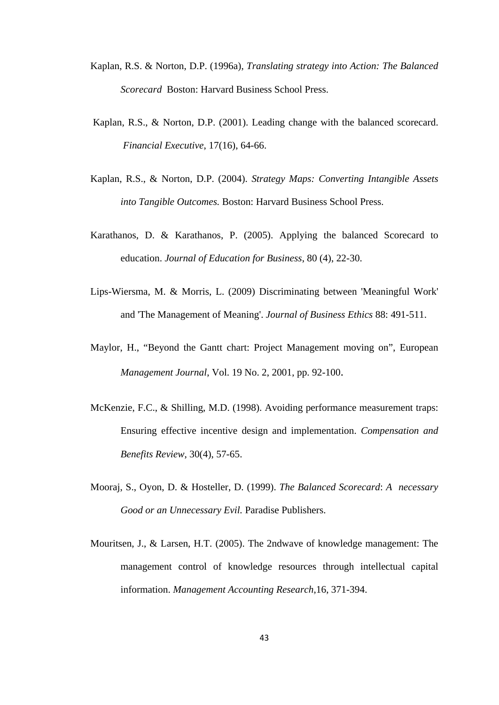- Kaplan, R.S. & Norton, D.P. (1996a), *Translating strategy into Action: The Balanced Scorecard* Boston: Harvard Business School Press.
- Kaplan, R.S., & Norton, D.P. (2001). Leading change with the balanced scorecard. *Financial Executive*, 17(16), 64-66.
- Kaplan, R.S., & Norton, D.P. (2004). *Strategy Maps: Converting Intangible Assets into Tangible Outcomes.* Boston: Harvard Business School Press.
- Karathanos, D. & Karathanos, P. (2005). Applying the balanced Scorecard to education. *Journal of Education for Business*, 80 (4), 22-30.
- Lips-Wiersma, M. & Morris, L. (2009) Discriminating between 'Meaningful Work' and 'The Management of Meaning'. *Journal of Business Ethics* 88: 491-511.
- Maylor, H., "Beyond the Gantt chart: Project Management moving on", European *Management Journal*, Vol. 19 No. 2, 2001, pp. 92-100.
- McKenzie, F.C., & Shilling, M.D. (1998). Avoiding performance measurement traps: Ensuring effective incentive design and implementation. *Compensation and Benefits Review*, 30(4), 57-65.
- Mooraj, S., Oyon, D. & Hosteller, D. (1999). *The Balanced Scorecard*: *A necessary Good or an Unnecessary Evil.* Paradise Publishers.
- Mouritsen, J., & Larsen, H.T. (2005). The 2ndwave of knowledge management: The management control of knowledge resources through intellectual capital information. *Management Accounting Research*,16, 371-394.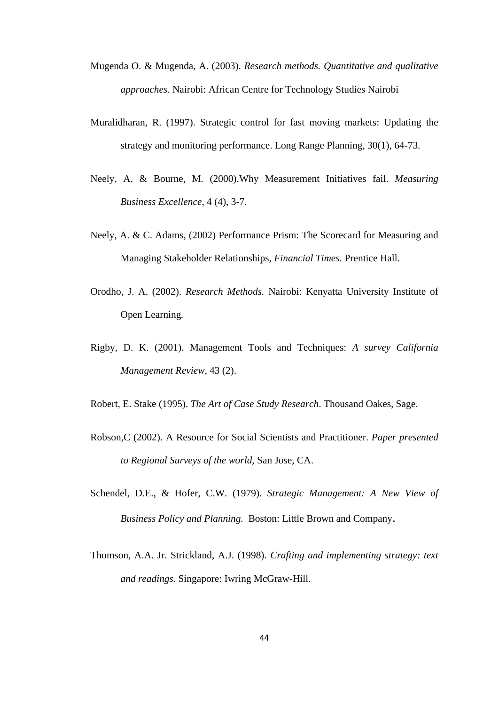- Mugenda O. & Mugenda, A. (2003). *Research methods. Quantitative and qualitative approaches*. Nairobi: African Centre for Technology Studies Nairobi
- Muralidharan, R. (1997). Strategic control for fast moving markets: Updating the strategy and monitoring performance. Long Range Planning, 30(1), 64-73.
- Neely, A. & Bourne, M. (2000).Why Measurement Initiatives fail. *Measuring Business Excellence*, 4 (4), 3-7.
- Neely, A. & C. Adams, (2002) Performance Prism: The Scorecard for Measuring and Managing Stakeholder Relationships, *Financial Times.* Prentice Hall.
- Orodho, J. A. (2002). *Research Methods.* Nairobi: Kenyatta University Institute of Open Learning*.*
- Rigby, D. K. (2001). Management Tools and Techniques: *A survey California Management Review*, 43 (2).
- Robert, E. Stake (1995). *The Art of Case Study Research*. Thousand Oakes, Sage.
- Robson,C (2002). A Resource for Social Scientists and Practitioner. *Paper presented to Regional Surveys of the world,* San Jose, CA.
- Schendel, D.E., & Hofer, C.W. (1979). *Strategic Management: A New View of Business Policy and Planning.* Boston: Little Brown and Company.
- Thomson, A.A. Jr. Strickland, A.J. (1998). *Crafting and implementing strategy: text and readings.* Singapore: Iwring McGraw-Hill.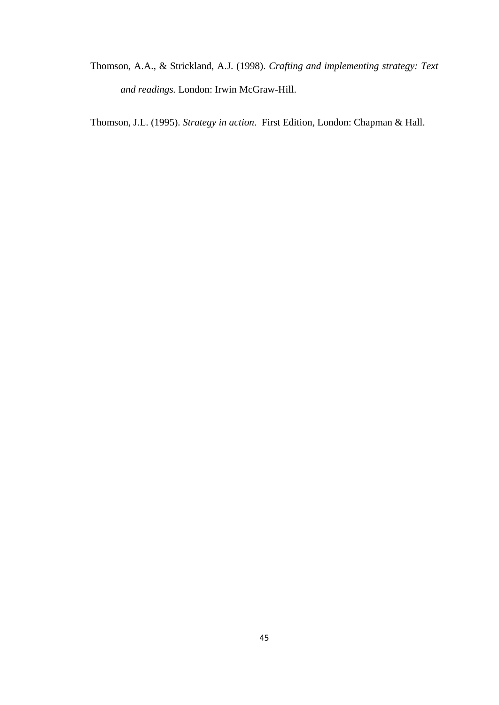Thomson, A.A., & Strickland, A.J. (1998). *Crafting and implementing strategy: Text and readings.* London: Irwin McGraw-Hill.

Thomson, J.L. (1995). *Strategy in action*. First Edition, London: Chapman & Hall.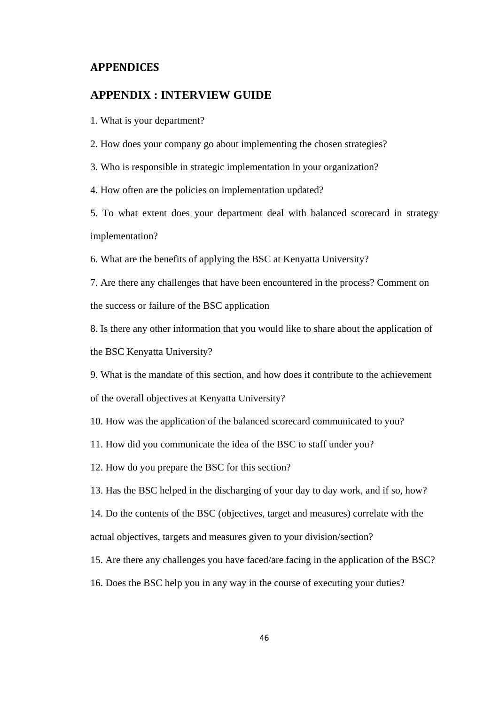## <span id="page-52-0"></span>**APPENDICES**

#### **APPENDIX : INTERVIEW GUIDE**

1. What is your department?

2. How does your company go about implementing the chosen strategies?

3. Who is responsible in strategic implementation in your organization?

4. How often are the policies on implementation updated?

5. To what extent does your department deal with balanced scorecard in strategy implementation?

6. What are the benefits of applying the BSC at Kenyatta University?

7. Are there any challenges that have been encountered in the process? Comment on the success or failure of the BSC application

8. Is there any other information that you would like to share about the application of the BSC Kenyatta University?

9. What is the mandate of this section, and how does it contribute to the achievement of the overall objectives at Kenyatta University?

10. How was the application of the balanced scorecard communicated to you?

11. How did you communicate the idea of the BSC to staff under you?

12. How do you prepare the BSC for this section?

13. Has the BSC helped in the discharging of your day to day work, and if so, how?

14. Do the contents of the BSC (objectives, target and measures) correlate with the actual objectives, targets and measures given to your division/section?

15. Are there any challenges you have faced/are facing in the application of the BSC?

16. Does the BSC help you in any way in the course of executing your duties?